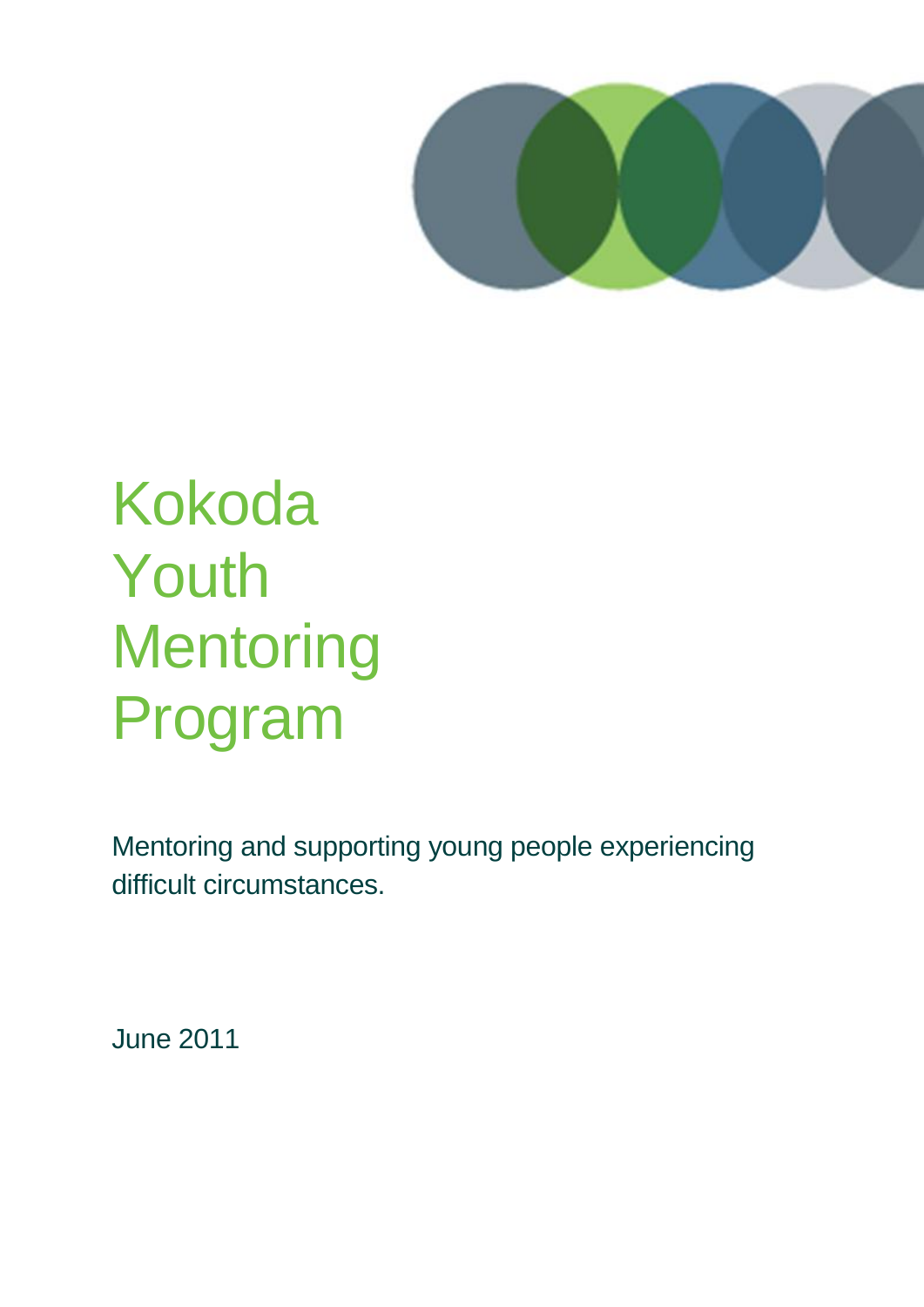

# Kokoda Youth **Mentoring** Program

Mentoring and supporting young people experiencing difficult circumstances.

June 2011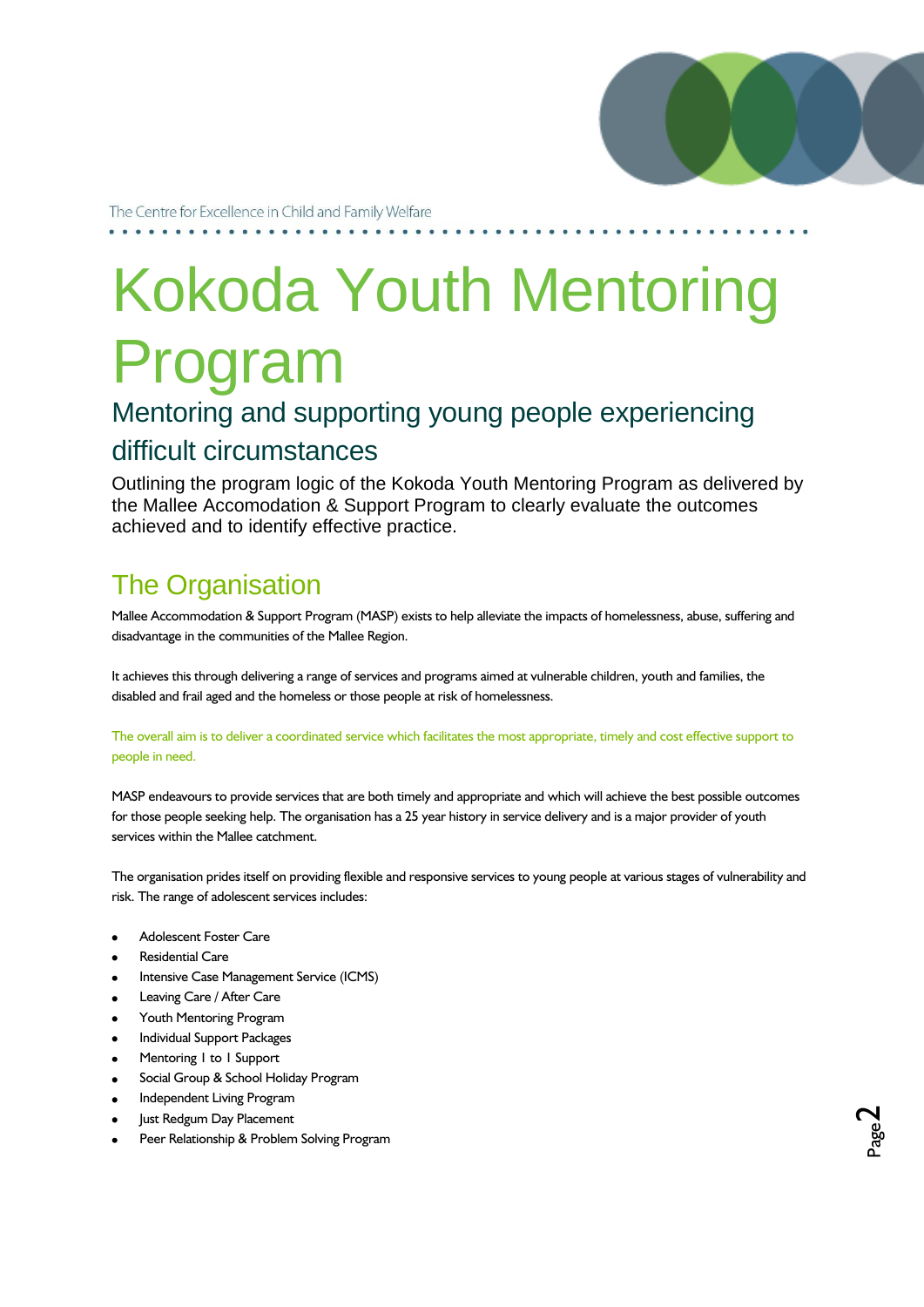

Page  $\boldsymbol{\sim}$ 

The Centre for Excellence in Child and Family Welfare

# Kokoda Youth Mentoring Program

### Mentoring and supporting young people experiencing difficult circumstances

Outlining the program logic of the Kokoda Youth Mentoring Program as delivered by the Mallee Accomodation & Support Program to clearly evaluate the outcomes achieved and to identify effective practice.

## The Organisation

Mallee Accommodation & Support Program (MASP) exists to help alleviate the impacts of homelessness, abuse, suffering and disadvantage in the communities of the Mallee Region.

It achieves this through delivering a range of services and programs aimed at vulnerable children, youth and families, the disabled and frail aged and the homeless or those people at risk of homelessness.

The overall aim is to deliver a coordinated service which facilitates the most appropriate, timely and cost effective support to people in need.

MASP endeavours to provide services that are both timely and appropriate and which will achieve the best possible outcomes for those people seeking help. The organisation has a 25 year history in service delivery and is a major provider of youth services within the Mallee catchment.

The organisation prides itself on providing flexible and responsive services to young people at various stages of vulnerability and risk. The range of adolescent services includes:

- Adolescent Foster Care
- Residential Care
- Intensive Case Management Service (ICMS)
- Leaving Care / After Care
- Youth Mentoring Program
- Individual Support Packages
- Mentoring 1 to 1 Support
- Social Group & School Holiday Program
- Independent Living Program
- Just Redgum Day Placement
- Peer Relationship & Problem Solving Program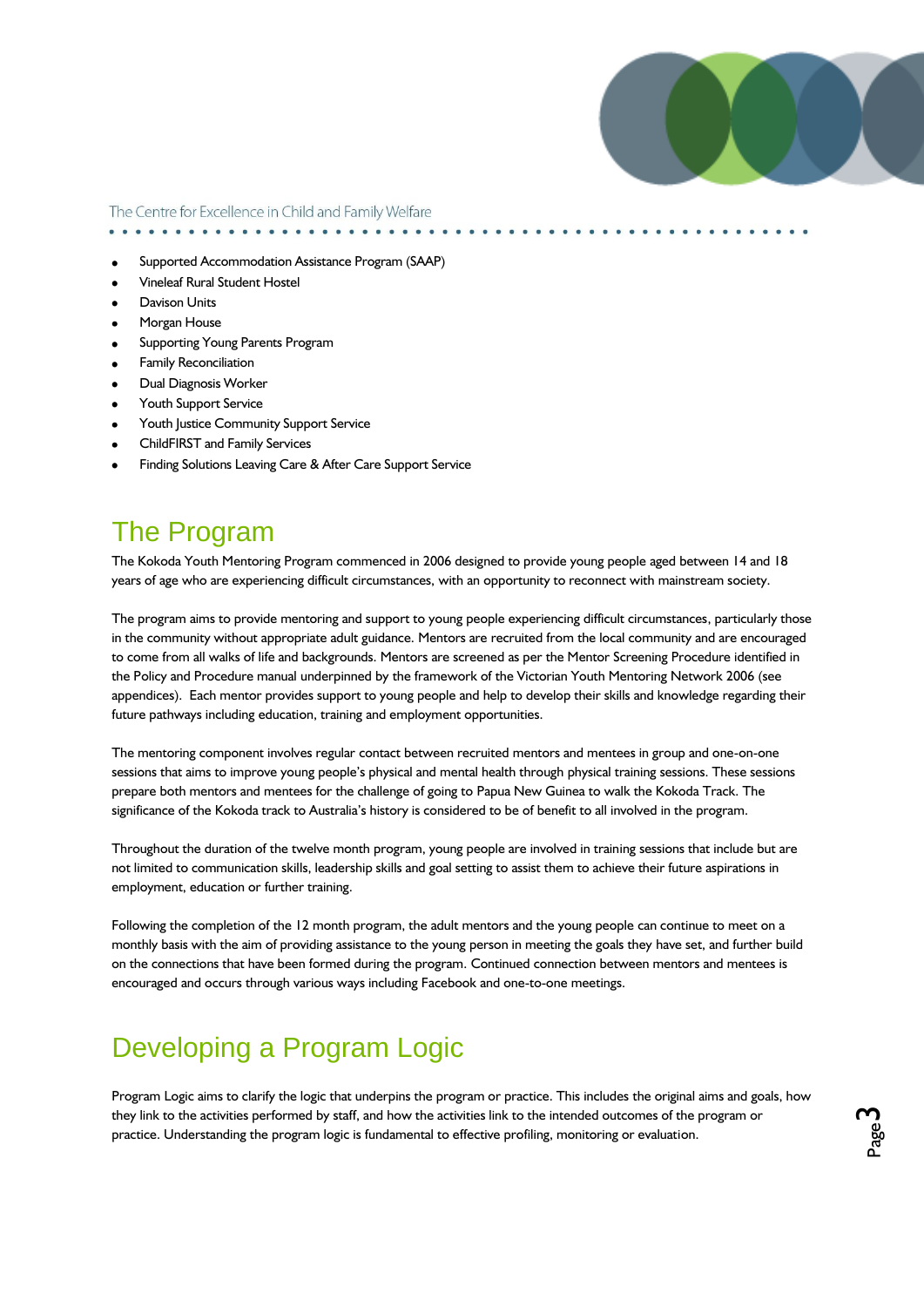

. . . . . . . . . . . . . . . . .

- Supported Accommodation Assistance Program (SAAP)
- Vineleaf Rural Student Hostel
- Davison Units
- Morgan House
- Supporting Young Parents Program
- Family Reconciliation
- Dual Diagnosis Worker
- Youth Support Service
- Youth Justice Community Support Service
- ChildFIRST and Family Services
- Finding Solutions Leaving Care & After Care Support Service

### The Program

The Kokoda Youth Mentoring Program commenced in 2006 designed to provide young people aged between 14 and 18 years of age who are experiencing difficult circumstances, with an opportunity to reconnect with mainstream society.

The program aims to provide mentoring and support to young people experiencing difficult circumstances, particularly those in the community without appropriate adult guidance. Mentors are recruited from the local community and are encouraged to come from all walks of life and backgrounds. Mentors are screened as per the Mentor Screening Procedure identified in the Policy and Procedure manual underpinned by the framework of the Victorian Youth Mentoring Network 2006 (see appendices). Each mentor provides support to young people and help to develop their skills and knowledge regarding their future pathways including education, training and employment opportunities.

The mentoring component involves regular contact between recruited mentors and mentees in group and one-on-one sessions that aims to improve young people's physical and mental health through physical training sessions. These sessions prepare both mentors and mentees for the challenge of going to Papua New Guinea to walk the Kokoda Track. The significance of the Kokoda track to Australia's history is considered to be of benefit to all involved in the program.

Throughout the duration of the twelve month program, young people are involved in training sessions that include but are not limited to communication skills, leadership skills and goal setting to assist them to achieve their future aspirations in employment, education or further training.

Following the completion of the 12 month program, the adult mentors and the young people can continue to meet on a monthly basis with the aim of providing assistance to the young person in meeting the goals they have set, and further build on the connections that have been formed during the program. Continued connection between mentors and mentees is encouraged and occurs through various ways including Facebook and one-to-one meetings.

### Developing a Program Logic

Program Logic aims to clarify the logic that underpins the program or practice. This includes the original aims and goals, how they link to the activities performed by staff, and how the activities link to the intended outcomes of the program or practice. Understanding the program logic is fundamental to effective profiling, monitoring or evaluation.

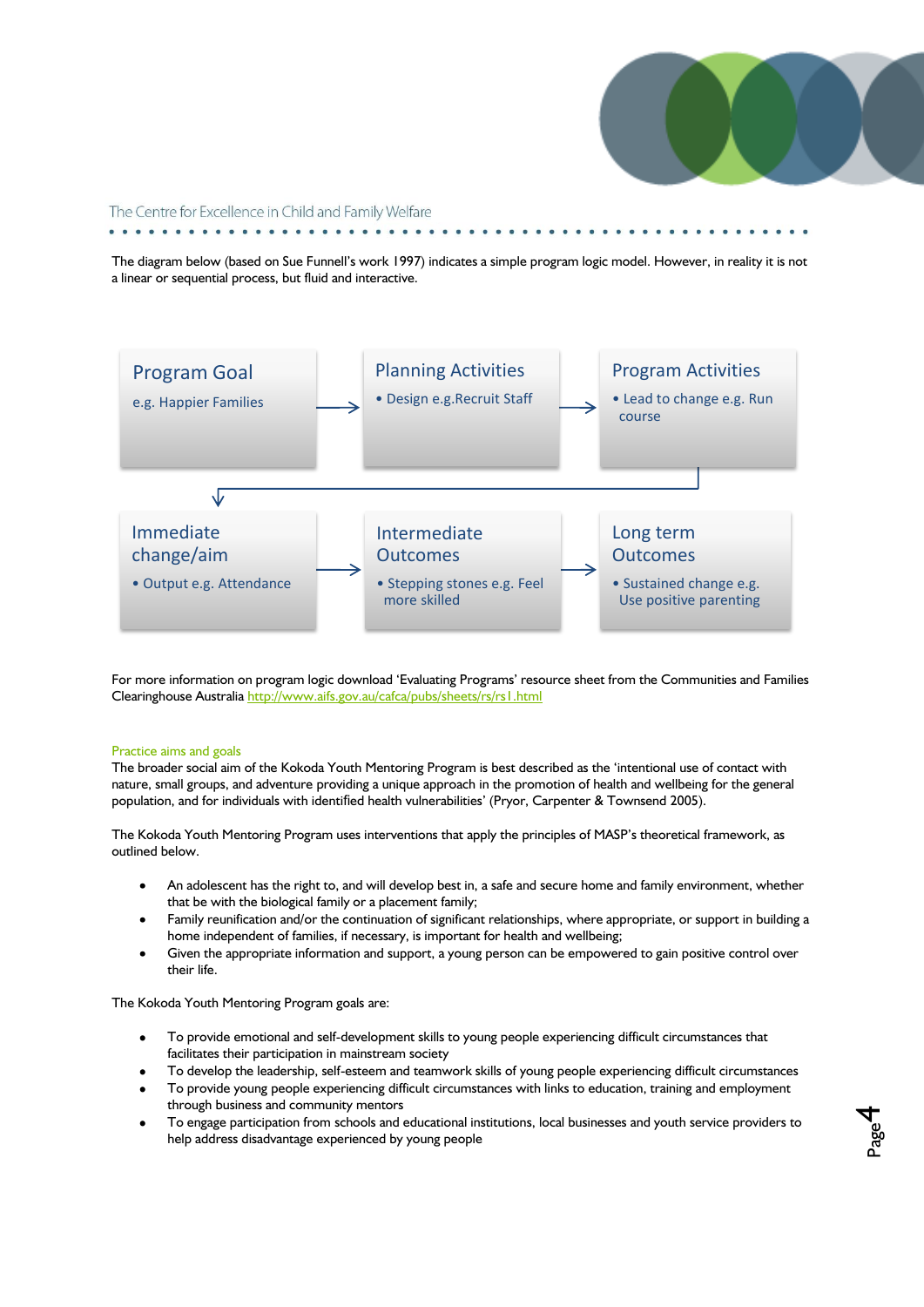

Page 4

The Centre for Excellence in Child and Family Welfare

The diagram below (based on Sue Funnell"s work 1997) indicates a simple program logic model. However, in reality it is not a linear or sequential process, but fluid and interactive.



For more information on program logic download "Evaluating Programs" resource sheet from the Communities and Families Clearinghouse Australi[a http://www.aifs.gov.au/cafca/pubs/sheets/rs/rs1.html](http://www.aifs.gov.au/cafca/pubs/sheets/rs/rs1.html) 

#### Practice aims and goals

The broader social aim of the Kokoda Youth Mentoring Program is best described as the "intentional use of contact with nature, small groups, and adventure providing a unique approach in the promotion of health and wellbeing for the general population, and for individuals with identified health vulnerabilities' (Pryor, Carpenter & Townsend 2005).

The Kokoda Youth Mentoring Program uses interventions that apply the principles of MASP"s theoretical framework, as outlined below.

- An adolescent has the right to, and will develop best in, a safe and secure home and family environment, whether that be with the biological family or a placement family;
- Family reunification and/or the continuation of significant relationships, where appropriate, or support in building a home independent of families, if necessary, is important for health and wellbeing;
- Given the appropriate information and support, a young person can be empowered to gain positive control over their life.

The Kokoda Youth Mentoring Program goals are:

- To provide emotional and self-development skills to young people experiencing difficult circumstances that facilitates their participation in mainstream society
- To develop the leadership, self-esteem and teamwork skills of young people experiencing difficult circumstances
- To provide young people experiencing difficult circumstances with links to education, training and employment through business and community mentors
- To engage participation from schools and educational institutions, local businesses and youth service providers to help address disadvantage experienced by young people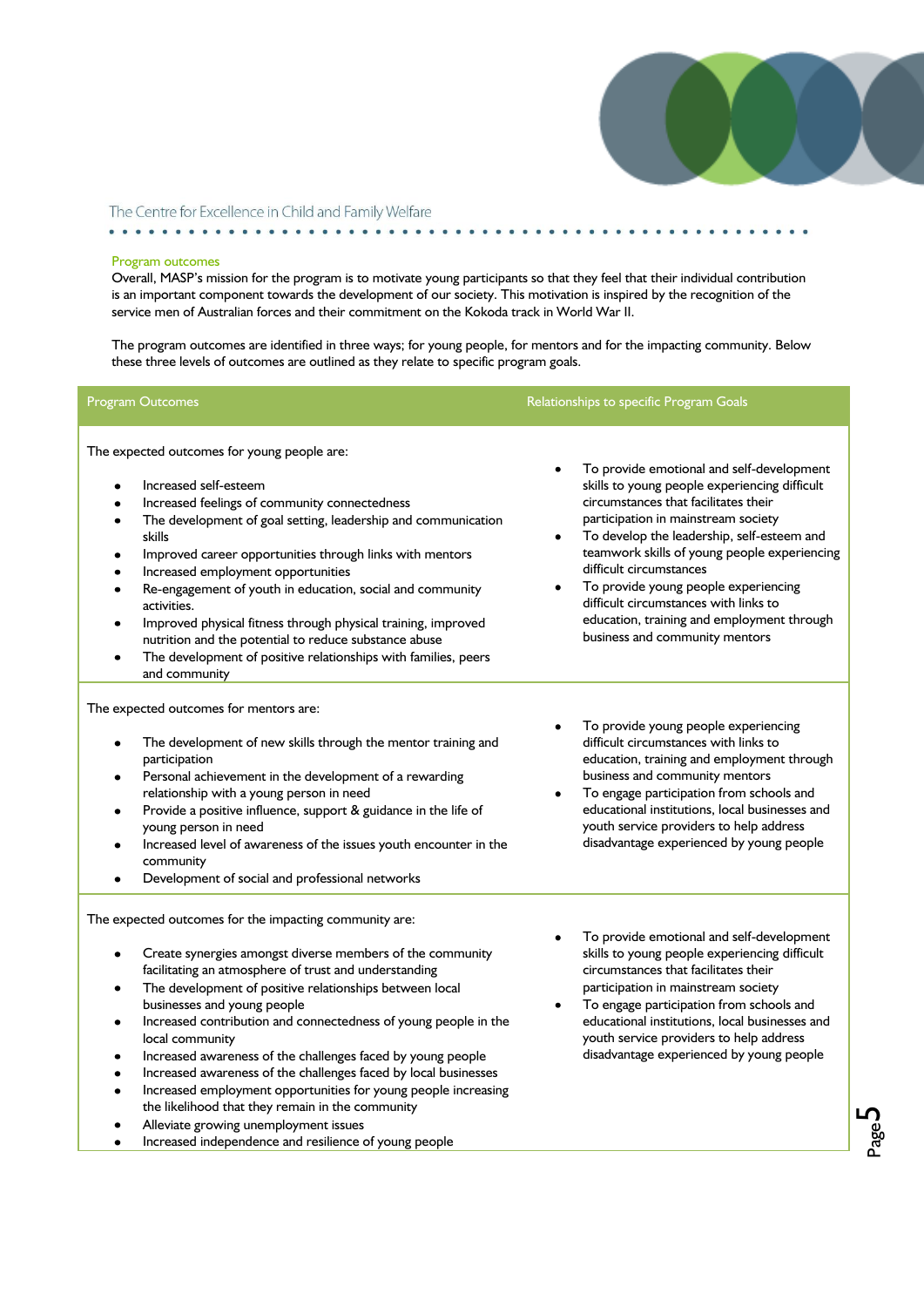

 $\bullet\hspace{0.1cm} \bullet\hspace{0.1cm}\bullet\hspace{0.1cm}\bullet\hspace{0.1cm}\bullet$ 

Page ഥ

### The Centre for Excellence in Child and Family Welfare

#### Program outcomes

Overall, MASP's mission for the program is to motivate young participants so that they feel that their individual contribution is an important component towards the development of our society. This motivation is inspired by the recognition of the service men of Australian forces and their commitment on the Kokoda track in World War II.

The program outcomes are identified in three ways; for young people, for mentors and for the impacting community. Below these three levels of outcomes are outlined as they relate to specific program goals.

| Program Outcomes                                                                                                                                                                                                                                                                                                                                                                                                                                                                                                                                                                                                                                                                                                                                      | Relationships to specific Program Goals                                                                                                                                                                                                                                                                                                                                                                                                                             |
|-------------------------------------------------------------------------------------------------------------------------------------------------------------------------------------------------------------------------------------------------------------------------------------------------------------------------------------------------------------------------------------------------------------------------------------------------------------------------------------------------------------------------------------------------------------------------------------------------------------------------------------------------------------------------------------------------------------------------------------------------------|---------------------------------------------------------------------------------------------------------------------------------------------------------------------------------------------------------------------------------------------------------------------------------------------------------------------------------------------------------------------------------------------------------------------------------------------------------------------|
| The expected outcomes for young people are:<br>Increased self-esteem<br>$\bullet$<br>Increased feelings of community connectedness<br>The development of goal setting, leadership and communication<br>$\bullet$<br>skills<br>Improved career opportunities through links with mentors<br>Increased employment opportunities<br>Re-engagement of youth in education, social and community<br>activities.<br>Improved physical fitness through physical training, improved<br>nutrition and the potential to reduce substance abuse<br>The development of positive relationships with families, peers<br>and community                                                                                                                                 | To provide emotional and self-development<br>skills to young people experiencing difficult<br>circumstances that facilitates their<br>participation in mainstream society<br>To develop the leadership, self-esteem and<br>teamwork skills of young people experiencing<br>difficult circumstances<br>To provide young people experiencing<br>difficult circumstances with links to<br>education, training and employment through<br>business and community mentors |
| The expected outcomes for mentors are:<br>The development of new skills through the mentor training and<br>participation<br>Personal achievement in the development of a rewarding<br>relationship with a young person in need<br>Provide a positive influence, support & guidance in the life of<br>$\bullet$<br>young person in need<br>Increased level of awareness of the issues youth encounter in the<br>$\bullet$<br>community<br>Development of social and professional networks<br>$\bullet$                                                                                                                                                                                                                                                 | To provide young people experiencing<br>difficult circumstances with links to<br>education, training and employment through<br>business and community mentors<br>To engage participation from schools and<br>educational institutions, local businesses and<br>youth service providers to help address<br>disadvantage experienced by young people                                                                                                                  |
| The expected outcomes for the impacting community are:<br>Create synergies amongst diverse members of the community<br>facilitating an atmosphere of trust and understanding<br>The development of positive relationships between local<br>٠<br>businesses and young people<br>Increased contribution and connectedness of young people in the<br>$\bullet$<br>local community<br>Increased awareness of the challenges faced by young people<br>$\bullet$<br>Increased awareness of the challenges faced by local businesses<br>Increased employment opportunities for young people increasing<br>the likelihood that they remain in the community<br>Alleviate growing unemployment issues<br>Increased independence and resilience of young people | To provide emotional and self-development<br>skills to young people experiencing difficult<br>circumstances that facilitates their<br>participation in mainstream society<br>To engage participation from schools and<br>educational institutions, local businesses and<br>youth service providers to help address<br>disadvantage experienced by young people                                                                                                      |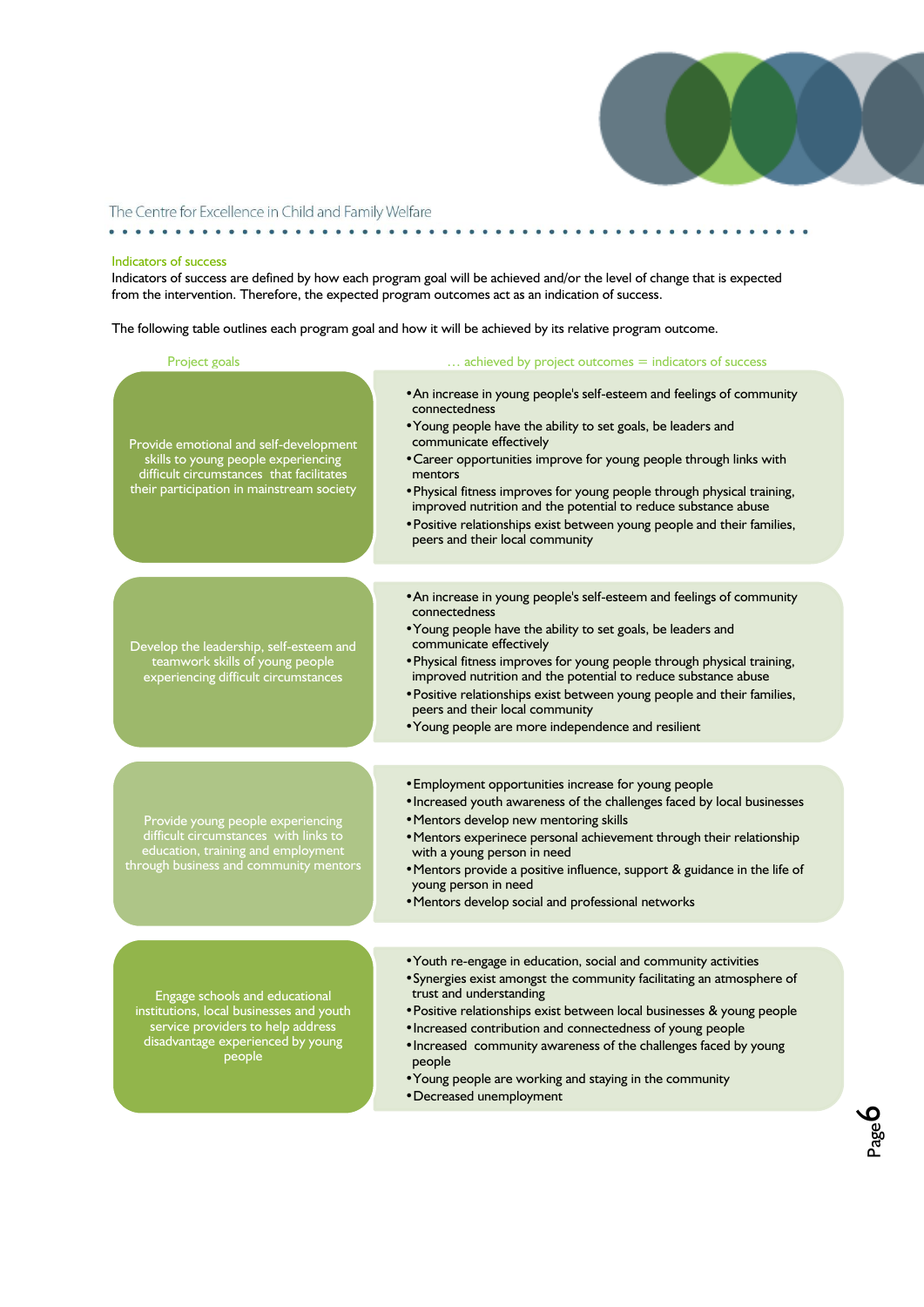

 $\bullet\hspace{0.1cm} \bullet\hspace{0.1cm}\bullet\hspace{0.1cm}\bullet\hspace{0.1cm}\bullet$ 

Page  $\overline{\mathbf{O}}$ 

### The Centre for Excellence in Child and Family Welfare

#### Indicators of success

Indicators of success are defined by how each program goal will be achieved and/or the level of change that is expected from the intervention. Therefore, the expected program outcomes act as an indication of success.

. . . . . . .

The following table outlines each program goal and how it will be achieved by its relative program outcome.

| Project goals                                                                                                                                                          | $\ldots$ achieved by project outcomes $=$ indicators of success                                                                                                                                                                                                                                                                                                                                                                                                                                                               |  |  |
|------------------------------------------------------------------------------------------------------------------------------------------------------------------------|-------------------------------------------------------------------------------------------------------------------------------------------------------------------------------------------------------------------------------------------------------------------------------------------------------------------------------------------------------------------------------------------------------------------------------------------------------------------------------------------------------------------------------|--|--|
| Provide emotional and self-development<br>skills to young people experiencing<br>difficult circumstances that facilitates<br>their participation in mainstream society | • An increase in young people's self-esteem and feelings of community<br>connectedness<br>• Young people have the ability to set goals, be leaders and<br>communicate effectively<br>• Career opportunities improve for young people through links with<br>mentors<br>. Physical fitness improves for young people through physical training,<br>improved nutrition and the potential to reduce substance abuse<br>• Positive relationships exist between young people and their families,<br>peers and their local community |  |  |
| Develop the leadership, self-esteem and<br>teamwork skills of young people<br>experiencing difficult circumstances                                                     | • An increase in young people's self-esteem and feelings of community<br>connectedness<br>• Young people have the ability to set goals, be leaders and<br>communicate effectively<br>. Physical fitness improves for young people through physical training,<br>improved nutrition and the potential to reduce substance abuse<br>• Positive relationships exist between young people and their families,<br>peers and their local community<br>• Young people are more independence and resilient                            |  |  |
| Provide young people experiencing<br>difficult circumstances with links to<br>education, training and employment<br>through business and community mentors             | • Employment opportunities increase for young people<br>. Increased youth awareness of the challenges faced by local businesses<br>• Mentors develop new mentoring skills<br>• Mentors experinece personal achievement through their relationship<br>with a young person in need<br>• Mentors provide a positive influence, support & guidance in the life of<br>young person in need<br>• Mentors develop social and professional networks                                                                                   |  |  |
| <b>Engage schools and educational</b><br>institutions, local businesses and youth<br>service providers to help address<br>disadvantage experienced by young<br>people  | • Youth re-engage in education, social and community activities<br>• Synergies exist amongst the community facilitating an atmosphere of<br>trust and understanding<br>· Positive relationships exist between local businesses & young people<br>· Increased contribution and connectedness of young people<br>. Increased community awareness of the challenges faced by young<br>people<br>• Young people are working and staying in the community                                                                          |  |  |

•Decreased unemployment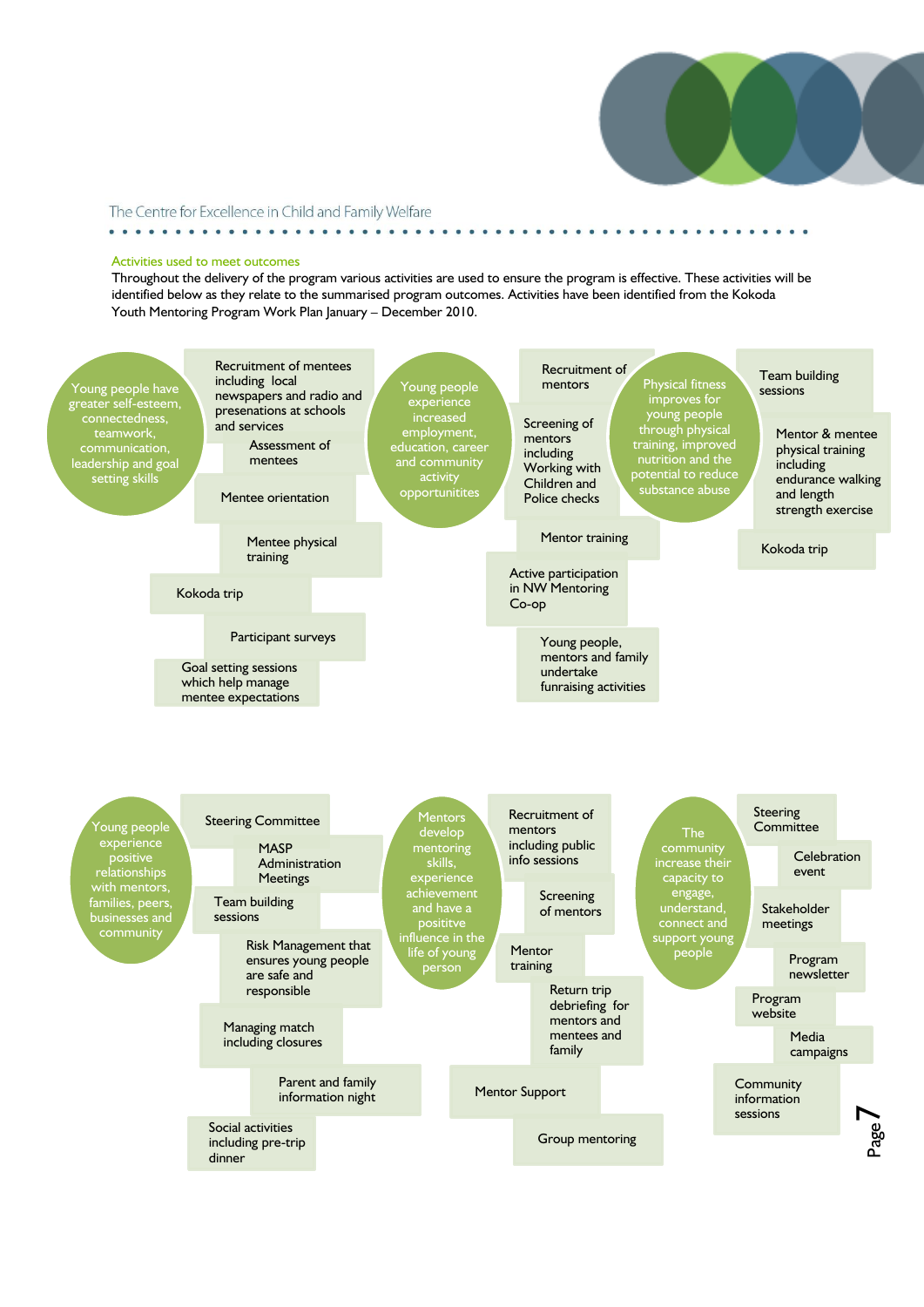

#### Activities used to meet outcomes

. . . . . . . . . . . . . . . . .

Throughout the delivery of the program various activities are used to ensure the program is effective. These activities will be identified below as they relate to the summarised program outcomes. Activities have been identified from the Kokoda Youth Mentoring Program Work Plan January – December 2010.

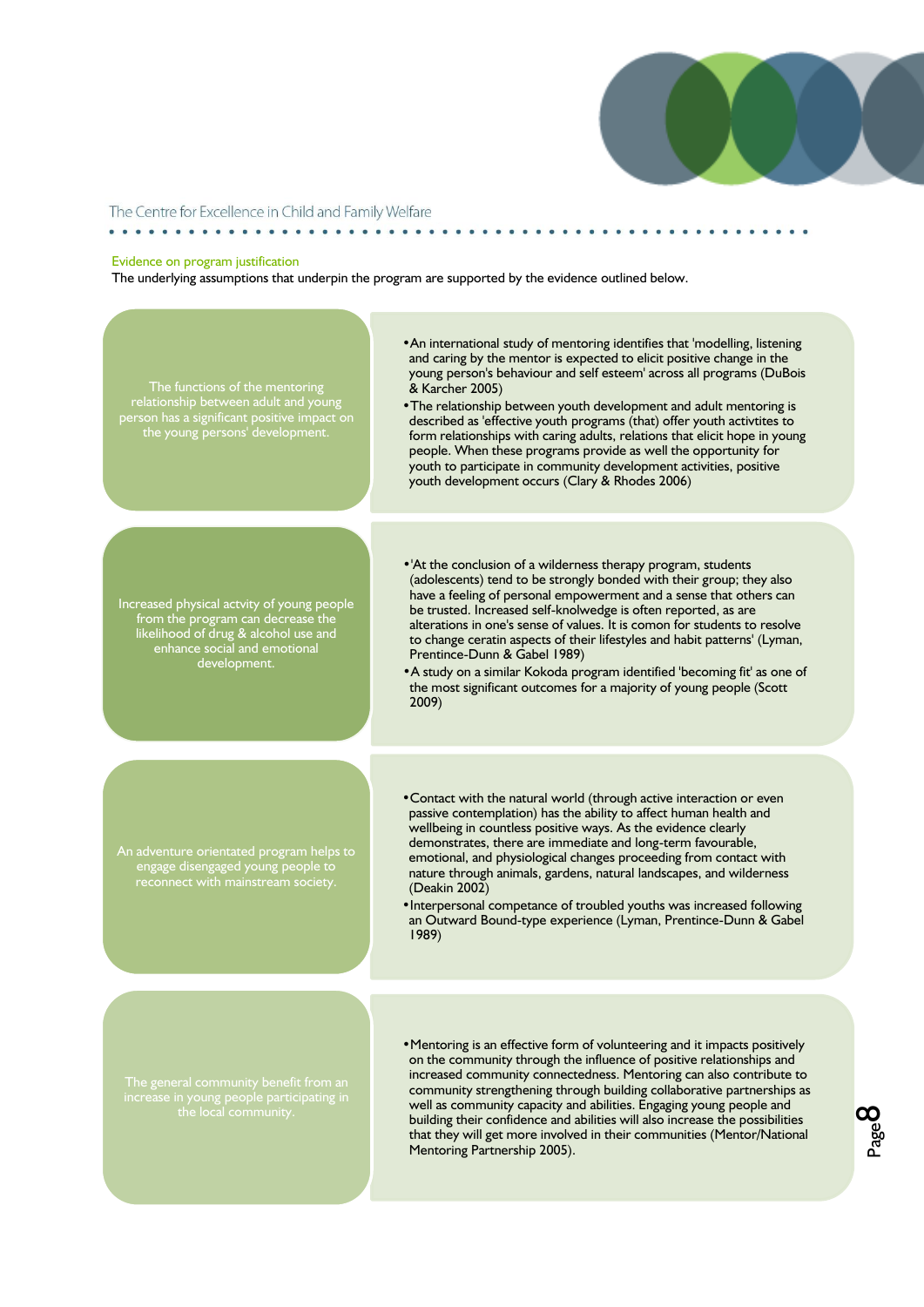

. . . . . . . . . . .

#### The Centre for Excellence in Child and Family Welfare

#### Evidence on program justification

The underlying assumptions that underpin the program are supported by the evidence outlined below.



community strengthening through building collaborative partnerships as well as community capacity and abilities. Engaging young people and building their confidence and abilities will also increase the possibilities that they will get more involved in their communities (Mentor/National Mentoring Partnership 2005).

Page 00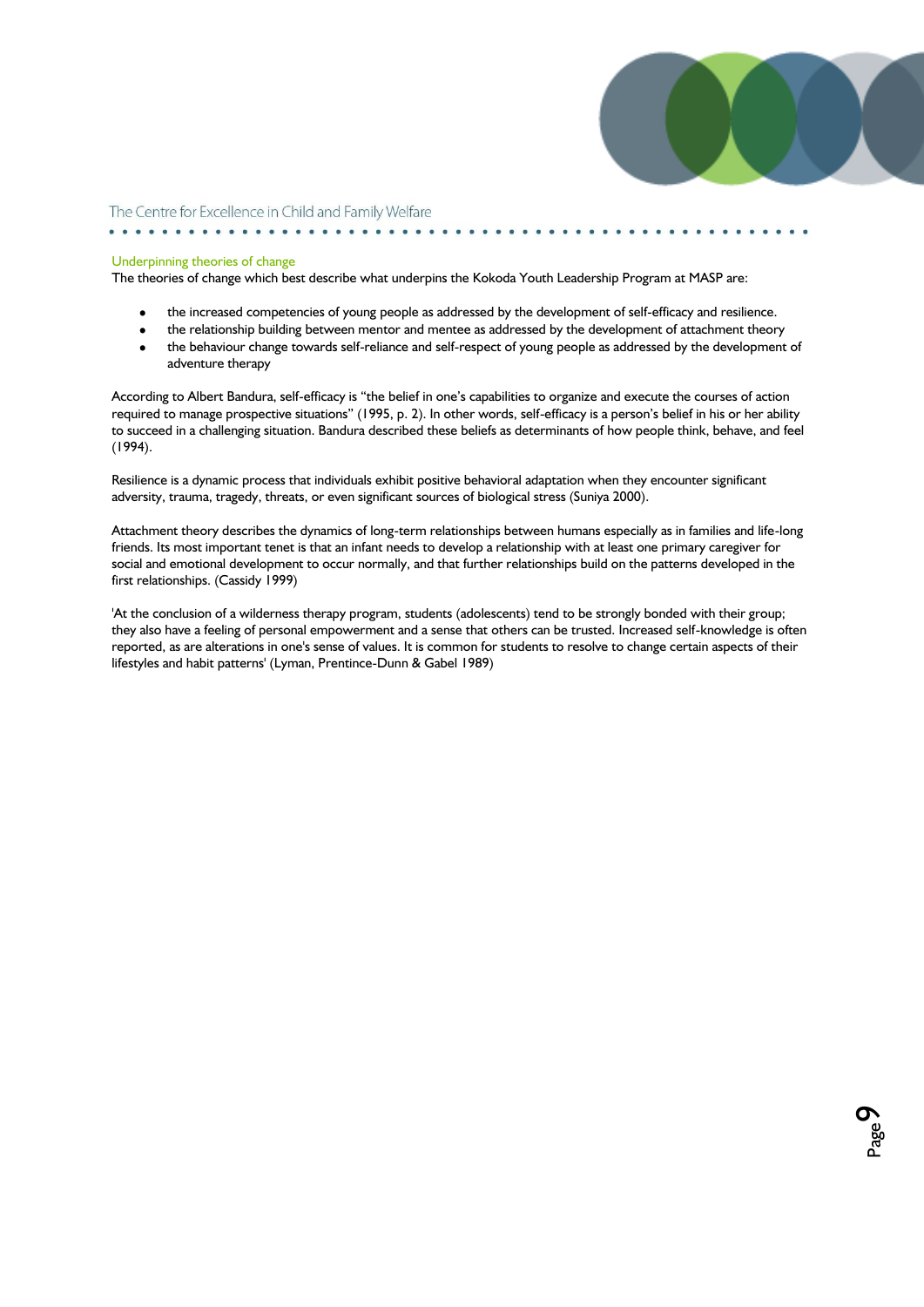

Page თ

The Centre for Excellence in Child and Family Welfare

#### Underpinning theories of change

. . . . . . . . . . . . . . . . . .

The theories of change which best describe what underpins the Kokoda Youth Leadership Program at MASP are:

- the increased competencies of young people as addressed by the development of self-efficacy and resilience.
- the relationship building between mentor and mentee as addressed by the development of attachment theory  $\bullet$
- $\bullet$ the behaviour change towards self-reliance and self-respect of young people as addressed by the development of adventure therapy

According to Albert Bandura, self-efficacy is "the belief in one"s capabilities to organize and execute the courses of action required to manage prospective situations" (1995, p. 2). In other words, self-efficacy is a person's belief in his or her ability to succeed in a challenging situation. Bandura described these beliefs as determinants of how people think, behave, and feel (1994).

Resilience is a dynamic process that individuals exhibit positive behavioral adaptation when they encounter significant adversity, trauma, tragedy, threats, or even significant sources of biological stress (Suniya 2000).

Attachment theory describes the dynamics of long-term relationships between humans especially as in families and life-long friends. Its most important tenet is that an infant needs to develop a relationship with at least one primary caregiver for social and emotional development to occur normally, and that further relationships build on the patterns developed in the first relationships. (Cassidy 1999)

'At the conclusion of a wilderness therapy program, students (adolescents) tend to be strongly bonded with their group; they also have a feeling of personal empowerment and a sense that others can be trusted. Increased self-knowledge is often reported, as are alterations in one's sense of values. It is common for students to resolve to change certain aspects of their lifestyles and habit patterns' (Lyman, Prentince-Dunn & Gabel 1989)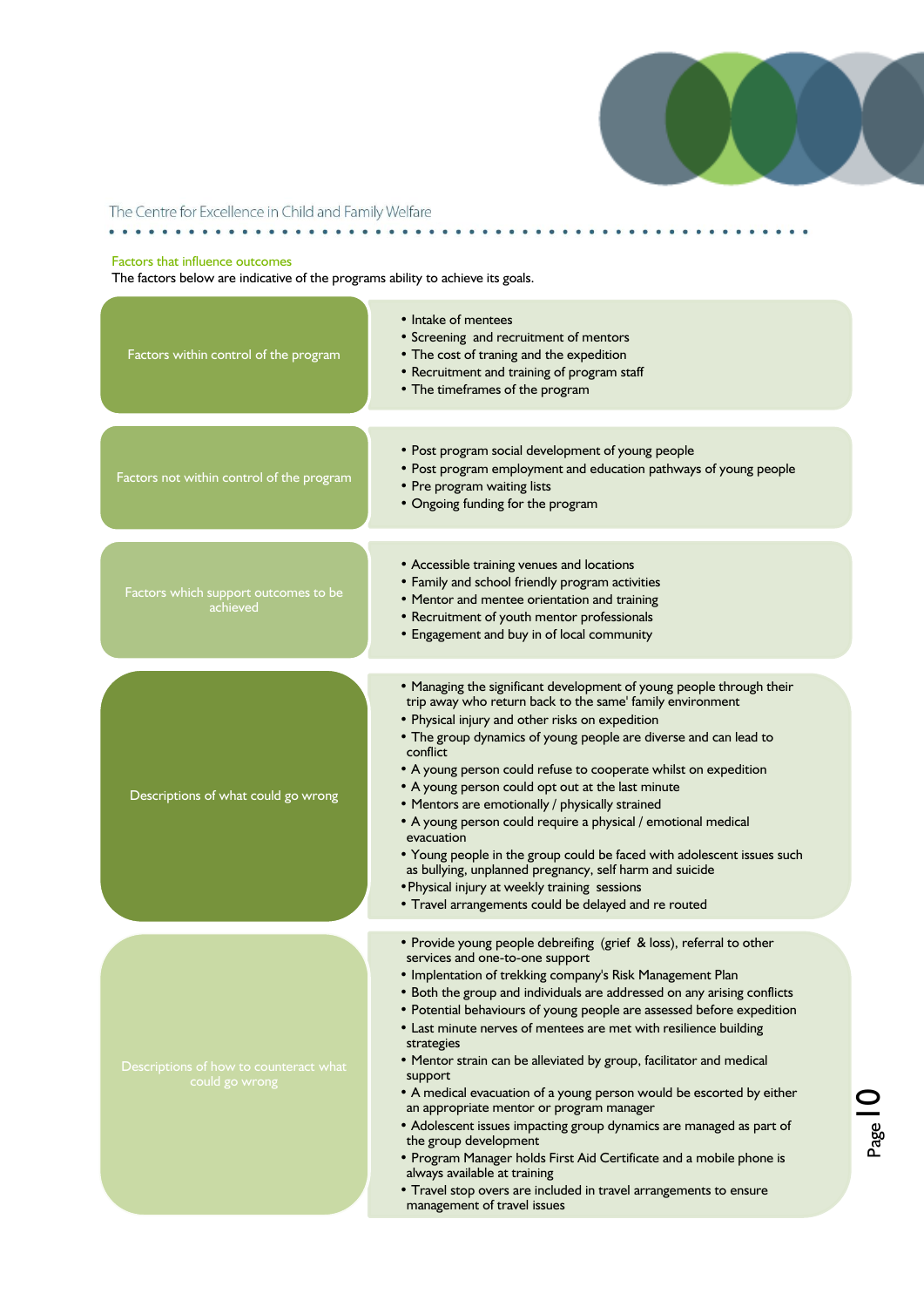

### The Centre for Excellence in Child and Family Welfare

### Factors that influence outcomes

The factors below are indicative of the programs ability to achieve its goals.

| Factors within control of the program                    | • Intake of mentees<br>• Screening and recruitment of mentors<br>• The cost of traning and the expedition<br>• Recruitment and training of program staff<br>• The timeframes of the program                                                                                                                                                                                                                                                                                                                                                                                                                                                                                                                                                                                                                                                                                                                                |
|----------------------------------------------------------|----------------------------------------------------------------------------------------------------------------------------------------------------------------------------------------------------------------------------------------------------------------------------------------------------------------------------------------------------------------------------------------------------------------------------------------------------------------------------------------------------------------------------------------------------------------------------------------------------------------------------------------------------------------------------------------------------------------------------------------------------------------------------------------------------------------------------------------------------------------------------------------------------------------------------|
| Factors not within control of the program                | • Post program social development of young people<br>• Post program employment and education pathways of young people<br>• Pre program waiting lists<br>• Ongoing funding for the program                                                                                                                                                                                                                                                                                                                                                                                                                                                                                                                                                                                                                                                                                                                                  |
| Factors which support outcomes to be<br>achieved         | • Accessible training venues and locations<br>• Family and school friendly program activities<br>• Mentor and mentee orientation and training<br>• Recruitment of youth mentor professionals<br>• Engagement and buy in of local community                                                                                                                                                                                                                                                                                                                                                                                                                                                                                                                                                                                                                                                                                 |
| Descriptions of what could go wrong                      | . Managing the significant development of young people through their<br>trip away who return back to the same' family environment<br>• Physical injury and other risks on expedition<br>• The group dynamics of young people are diverse and can lead to<br>conflict<br>• A young person could refuse to cooperate whilst on expedition<br>• A young person could opt out at the last minute<br>• Mentors are emotionally / physically strained<br>• A young person could require a physical / emotional medical<br>evacuation<br>• Young people in the group could be faced with adolescent issues such<br>as bullying, unplanned pregnancy, self harm and suicide<br>• Physical injury at weekly training sessions<br>• Travel arrangements could be delayed and re routed                                                                                                                                               |
| Descriptions of how to counteract what<br>could go wrong | • Provide young people debreifing (grief & loss), referral to other<br>services and one-to-one support<br>• Implentation of trekking company's Risk Management Plan<br>• Both the group and individuals are addressed on any arising conflicts<br>• Potential behaviours of young people are assessed before expedition<br>• Last minute nerves of mentees are met with resilience building<br>strategies<br>• Mentor strain can be alleviated by group, facilitator and medical<br>support<br>• A medical evacuation of a young person would be escorted by either<br>an appropriate mentor or program manager<br>• Adolescent issues impacting group dynamics are managed as part of<br>the group development<br>• Program Manager holds First Aid Certificate and a mobile phone is<br>always available at training<br>• Travel stop overs are included in travel arrangements to ensure<br>management of travel issues |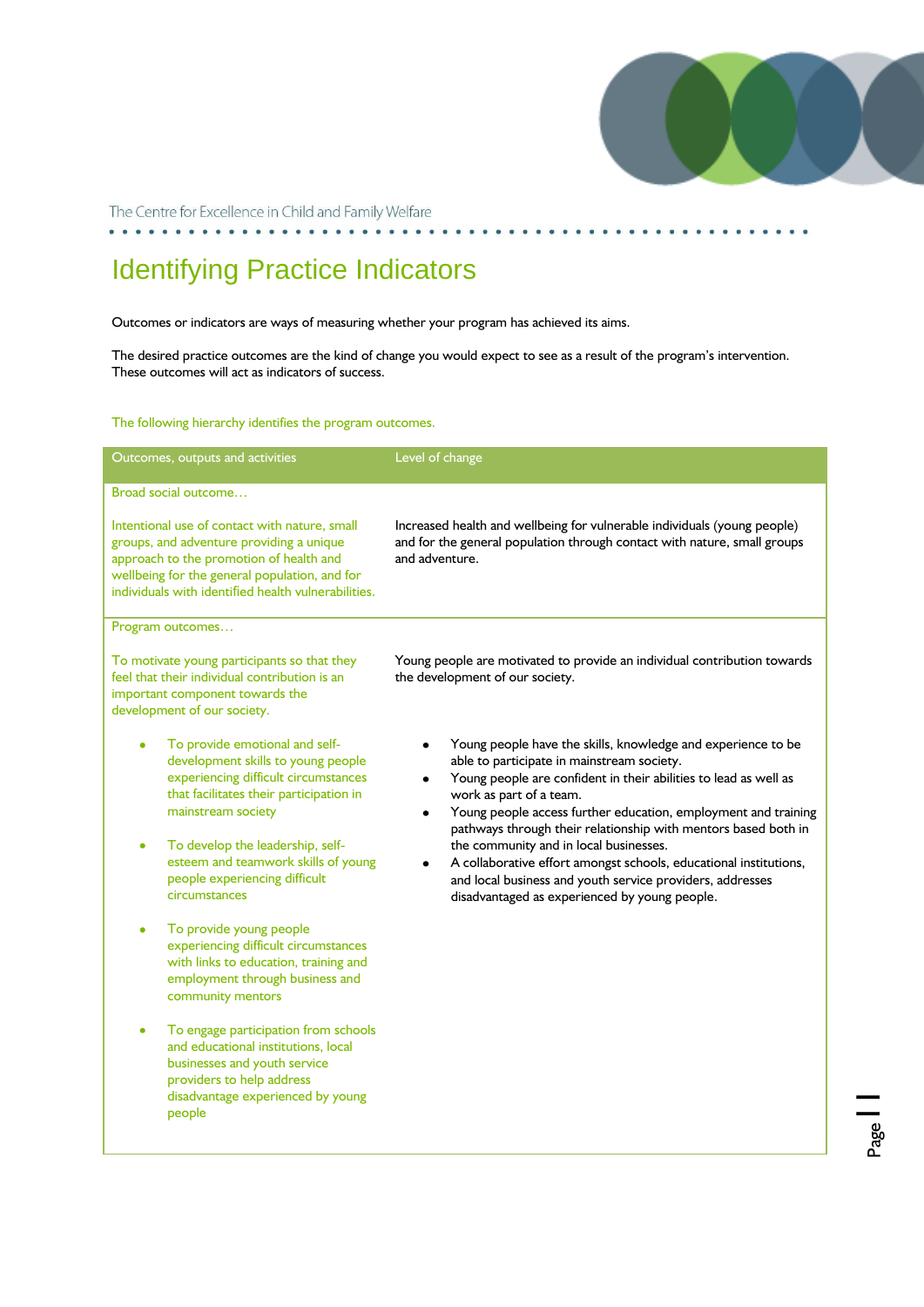

Page<sup>1</sup>

The Centre for Excellence in Child and Family Welfare

. . . . . . . .

# Identifying Practice Indicators

Outcomes or indicators are ways of measuring whether your program has achieved its aims.

The desired practice outcomes are the kind of change you would expect to see as a result of the program's intervention. These outcomes will act as indicators of success.

The following hierarchy identifies the program outcomes.

| Outcomes, outputs and activities                                                                                                                                                                                                             | Level of change                                                                                                                                                                                                                                                                                                                                                                              |  |
|----------------------------------------------------------------------------------------------------------------------------------------------------------------------------------------------------------------------------------------------|----------------------------------------------------------------------------------------------------------------------------------------------------------------------------------------------------------------------------------------------------------------------------------------------------------------------------------------------------------------------------------------------|--|
| Broad social outcome                                                                                                                                                                                                                         |                                                                                                                                                                                                                                                                                                                                                                                              |  |
| Intentional use of contact with nature, small<br>groups, and adventure providing a unique<br>approach to the promotion of health and<br>wellbeing for the general population, and for<br>individuals with identified health vulnerabilities. | Increased health and wellbeing for vulnerable individuals (young people)<br>and for the general population through contact with nature, small groups<br>and adventure.                                                                                                                                                                                                                       |  |
| Program outcomes                                                                                                                                                                                                                             |                                                                                                                                                                                                                                                                                                                                                                                              |  |
| To motivate young participants so that they<br>feel that their individual contribution is an<br>important component towards the<br>development of our society.                                                                               | Young people are motivated to provide an individual contribution towards<br>the development of our society.                                                                                                                                                                                                                                                                                  |  |
| To provide emotional and self-<br>development skills to young people<br>experiencing difficult circumstances<br>that facilitates their participation in<br>mainstream society<br>To develop the leadership, self-                            | Young people have the skills, knowledge and experience to be<br>able to participate in mainstream society.<br>Young people are confident in their abilities to lead as well as<br>work as part of a team.<br>Young people access further education, employment and training<br>٠<br>pathways through their relationship with mentors based both in<br>the community and in local businesses. |  |
| esteem and teamwork skills of young<br>people experiencing difficult<br>circumstances                                                                                                                                                        | A collaborative effort amongst schools, educational institutions,<br>and local business and youth service providers, addresses<br>disadvantaged as experienced by young people.                                                                                                                                                                                                              |  |
| To provide young people<br>experiencing difficult circumstances<br>with links to education, training and<br>employment through business and<br>community mentors                                                                             |                                                                                                                                                                                                                                                                                                                                                                                              |  |
| To engage participation from schools<br>and educational institutions, local<br>businesses and youth service<br>providers to help address<br>disadvantage experienced by young<br>people                                                      |                                                                                                                                                                                                                                                                                                                                                                                              |  |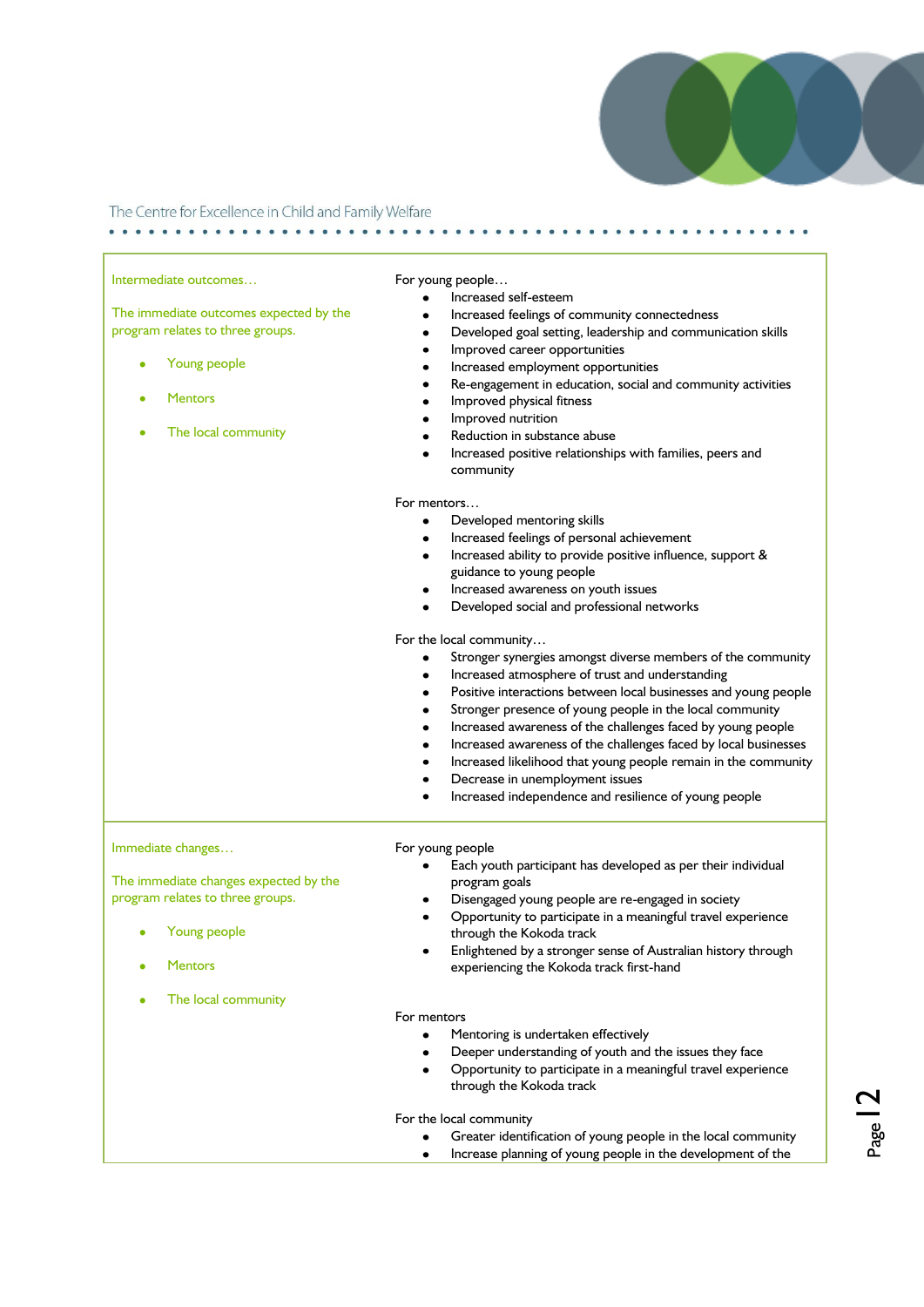

| Intermediate outcomes                  | For young people                                                                                             |  |
|----------------------------------------|--------------------------------------------------------------------------------------------------------------|--|
| The immediate outcomes expected by the | Increased self-esteem                                                                                        |  |
| program relates to three groups.       | Increased feelings of community connectedness<br>Developed goal setting, leadership and communication skills |  |
|                                        | Improved career opportunities                                                                                |  |
| Young people                           | Increased employment opportunities                                                                           |  |
|                                        | Re-engagement in education, social and community activities                                                  |  |
| <b>Mentors</b>                         |                                                                                                              |  |
|                                        | Improved physical fitness<br>Improved nutrition                                                              |  |
| The local community<br>٠               | Reduction in substance abuse                                                                                 |  |
|                                        | Increased positive relationships with families, peers and                                                    |  |
|                                        | community                                                                                                    |  |
|                                        | For mentors                                                                                                  |  |
|                                        | Developed mentoring skills                                                                                   |  |
|                                        | Increased feelings of personal achievement                                                                   |  |
|                                        | Increased ability to provide positive influence, support &<br>٠                                              |  |
|                                        | guidance to young people                                                                                     |  |
|                                        | Increased awareness on youth issues                                                                          |  |
|                                        | Developed social and professional networks                                                                   |  |
|                                        | For the local community                                                                                      |  |
|                                        | Stronger synergies amongst diverse members of the community                                                  |  |
|                                        | Increased atmosphere of trust and understanding                                                              |  |
|                                        | Positive interactions between local businesses and young people                                              |  |
|                                        | Stronger presence of young people in the local community                                                     |  |
|                                        | Increased awareness of the challenges faced by young people                                                  |  |
|                                        | Increased awareness of the challenges faced by local businesses                                              |  |
|                                        | Increased likelihood that young people remain in the community                                               |  |
|                                        | Decrease in unemployment issues                                                                              |  |
|                                        | Increased independence and resilience of young people                                                        |  |
| Immediate changes                      | For young people                                                                                             |  |
|                                        | Each youth participant has developed as per their individual                                                 |  |
| The immediate changes expected by the  | program goals                                                                                                |  |
| program relates to three groups.       | Disengaged young people are re-engaged in society                                                            |  |
|                                        | Opportunity to participate in a meaningful travel experience                                                 |  |
| Young people                           | through the Kokoda track                                                                                     |  |
|                                        | Enlightened by a stronger sense of Australian history through                                                |  |
| <b>Mentors</b>                         | experiencing the Kokoda track first-hand                                                                     |  |
| The local community                    |                                                                                                              |  |
|                                        | For mentors                                                                                                  |  |
|                                        | Mentoring is undertaken effectively                                                                          |  |
|                                        | Deeper understanding of youth and the issues they face                                                       |  |
|                                        | Opportunity to participate in a meaningful travel experience                                                 |  |
|                                        | through the Kokoda track                                                                                     |  |
|                                        | For the local community                                                                                      |  |
|                                        | Greater identification of young people in the local community                                                |  |
|                                        | Increase planning of young people in the development of the                                                  |  |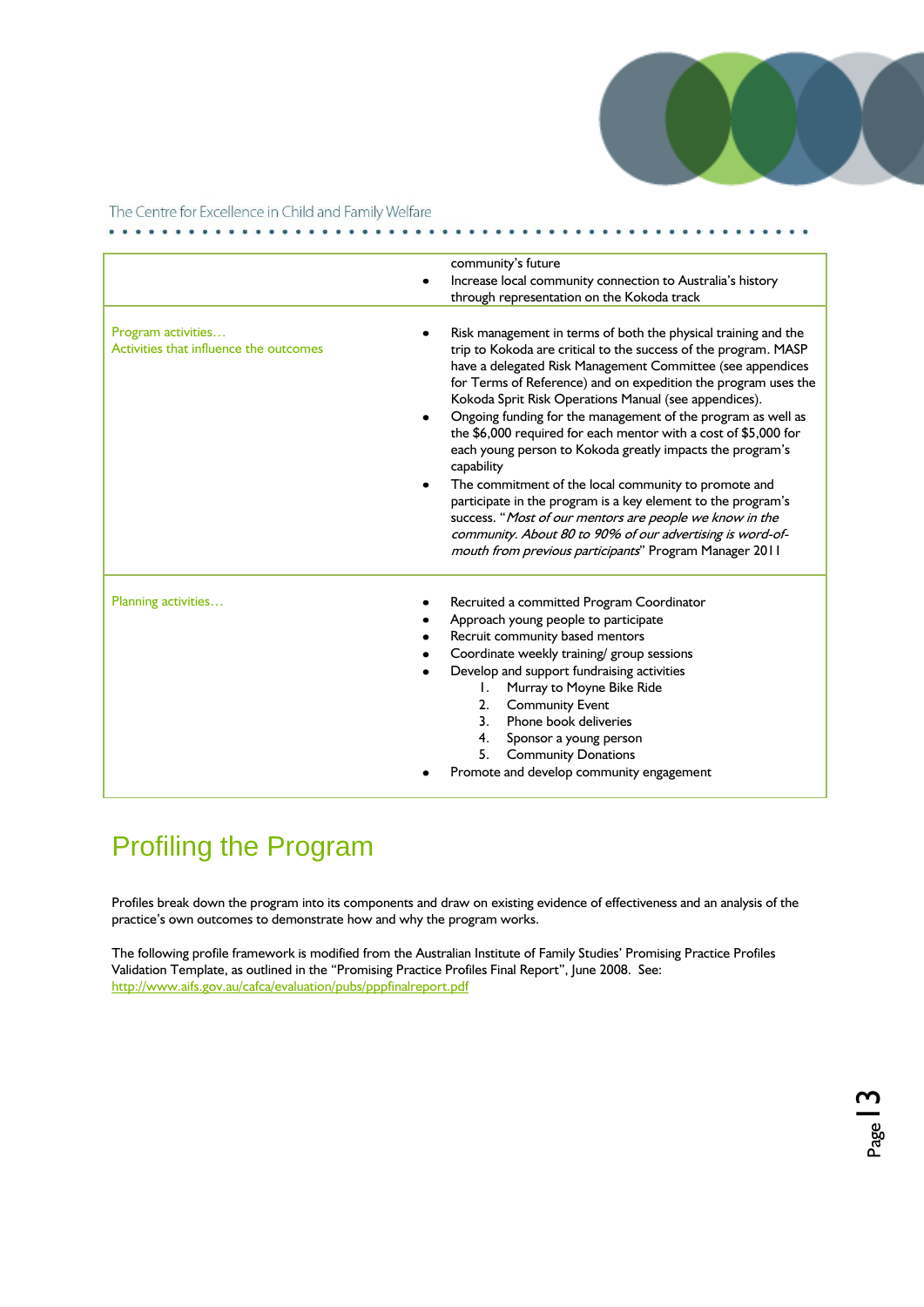

Page

The Centre for Excellence in Child and Family Welfare

. . . . . . . . .

|                                                              | community's future<br>Increase local community connection to Australia's history<br>through representation on the Kokoda track                                                                                                                                                                                                                                                                                                                                                                                                                                                                                                                                                                                                                                                                                                                     |  |
|--------------------------------------------------------------|----------------------------------------------------------------------------------------------------------------------------------------------------------------------------------------------------------------------------------------------------------------------------------------------------------------------------------------------------------------------------------------------------------------------------------------------------------------------------------------------------------------------------------------------------------------------------------------------------------------------------------------------------------------------------------------------------------------------------------------------------------------------------------------------------------------------------------------------------|--|
| Program activities<br>Activities that influence the outcomes | Risk management in terms of both the physical training and the<br>trip to Kokoda are critical to the success of the program. MASP<br>have a delegated Risk Management Committee (see appendices<br>for Terms of Reference) and on expedition the program uses the<br>Kokoda Sprit Risk Operations Manual (see appendices).<br>Ongoing funding for the management of the program as well as<br>the \$6,000 required for each mentor with a cost of \$5,000 for<br>each young person to Kokoda greatly impacts the program's<br>capability<br>The commitment of the local community to promote and<br>participate in the program is a key element to the program's<br>success. "Most of our mentors are people we know in the<br>community. About 80 to 90% of our advertising is word-of-<br>mouth from previous participants" Program Manager 2011 |  |
| Planning activities                                          | Recruited a committed Program Coordinator<br>Approach young people to participate<br>Recruit community based mentors<br>Coordinate weekly training/ group sessions<br>Develop and support fundraising activities<br>Murray to Moyne Bike Ride<br>1.<br><b>Community Event</b><br>2.<br>Phone book deliveries<br>3.<br>Sponsor a young person<br>4.<br><b>Community Donations</b><br>5.<br>Promote and develop community engagement                                                                                                                                                                                                                                                                                                                                                                                                                 |  |

 $.........$ 

### Profiling the Program

Profiles break down the program into its components and draw on existing evidence of effectiveness and an analysis of the practice's own outcomes to demonstrate how and why the program works.

The following profile framework is modified from the Australian Institute of Family Studies" Promising Practice Profiles Validation Template, as outlined in the "Promising Practice Profiles Final Report", June 2008. See: <http://www.aifs.gov.au/cafca/evaluation/pubs/pppfinalreport.pdf>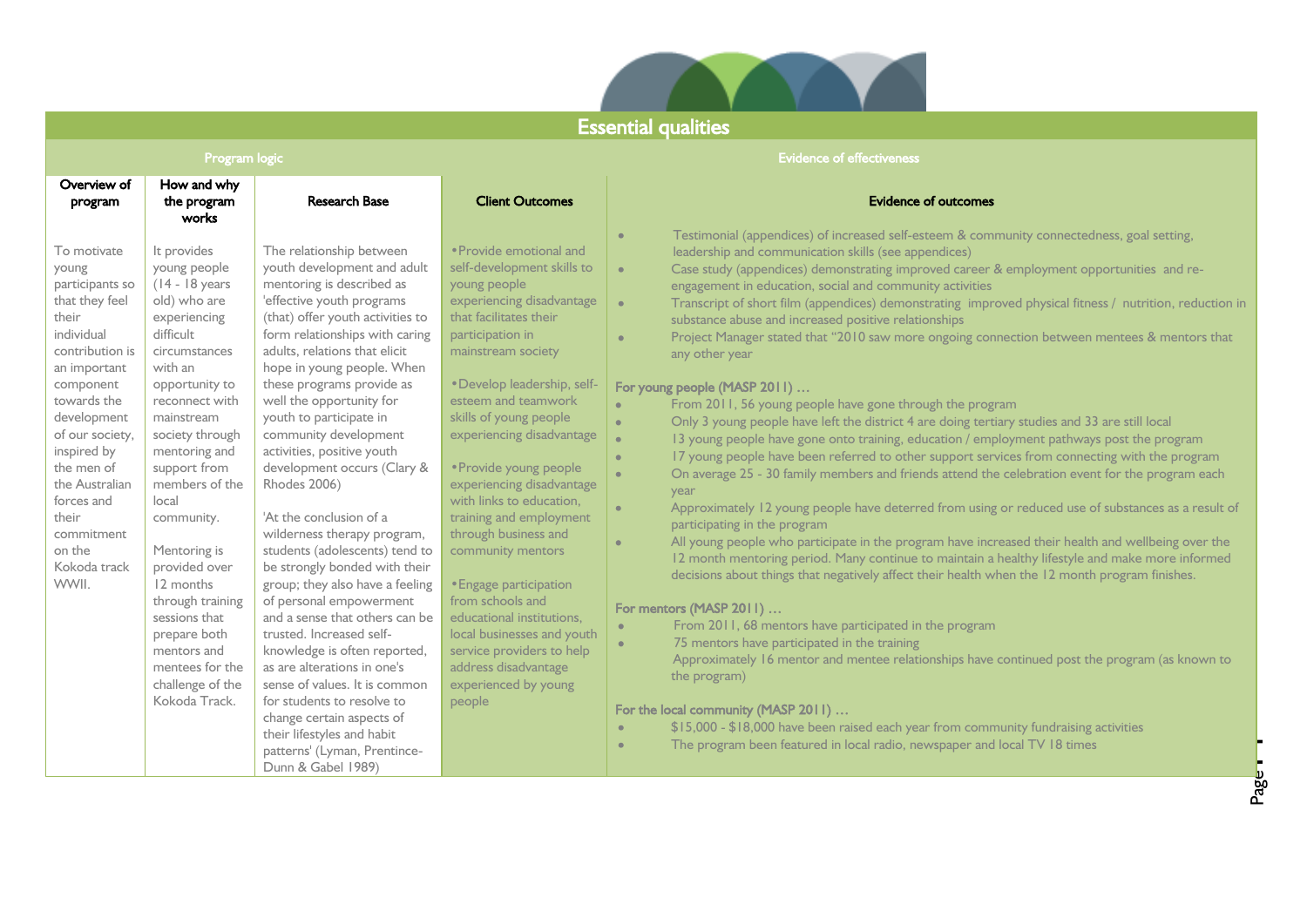

### Essential qualities

### **Program logic** Evidence of effectiveness and the control of the control of the control of effectiveness and the control of effectiveness and the control of effectiveness and the control of the control of the control of th

| Overview of<br>program                                                                                                                                                                                                                                                                                   | How and why<br>the program<br>works                                                                                                                                                                                                                                                                                                                                                                                                               | <b>Research Base</b>                                                                                                                                                                                                                                                                                                                                                                                                                                                                                                                                                                                                                                                                                                                                                                                                                                                                                                                      | <b>Client Outcomes</b>                                                                                                                                                                                                                                                                                                                                                                                                                                                                                                                                                                                                                         | <b>Evidence of outcomes</b><br>Testimonial (appendices) of increased self-esteem & community connectedness, goal setting,<br>$\bullet$                                                                                                                                                                                                                                                                                                                                                                                                                                                                                                                                                                                                                                                                                                                                                                                                                                                                                                                                                                                                                                                                                                                                                                                                                                                                                                                                                                                                                                                                                                                                                                                                                                                                                                                                                                                                                                                                                                                                                                            |
|----------------------------------------------------------------------------------------------------------------------------------------------------------------------------------------------------------------------------------------------------------------------------------------------------------|---------------------------------------------------------------------------------------------------------------------------------------------------------------------------------------------------------------------------------------------------------------------------------------------------------------------------------------------------------------------------------------------------------------------------------------------------|-------------------------------------------------------------------------------------------------------------------------------------------------------------------------------------------------------------------------------------------------------------------------------------------------------------------------------------------------------------------------------------------------------------------------------------------------------------------------------------------------------------------------------------------------------------------------------------------------------------------------------------------------------------------------------------------------------------------------------------------------------------------------------------------------------------------------------------------------------------------------------------------------------------------------------------------|------------------------------------------------------------------------------------------------------------------------------------------------------------------------------------------------------------------------------------------------------------------------------------------------------------------------------------------------------------------------------------------------------------------------------------------------------------------------------------------------------------------------------------------------------------------------------------------------------------------------------------------------|-------------------------------------------------------------------------------------------------------------------------------------------------------------------------------------------------------------------------------------------------------------------------------------------------------------------------------------------------------------------------------------------------------------------------------------------------------------------------------------------------------------------------------------------------------------------------------------------------------------------------------------------------------------------------------------------------------------------------------------------------------------------------------------------------------------------------------------------------------------------------------------------------------------------------------------------------------------------------------------------------------------------------------------------------------------------------------------------------------------------------------------------------------------------------------------------------------------------------------------------------------------------------------------------------------------------------------------------------------------------------------------------------------------------------------------------------------------------------------------------------------------------------------------------------------------------------------------------------------------------------------------------------------------------------------------------------------------------------------------------------------------------------------------------------------------------------------------------------------------------------------------------------------------------------------------------------------------------------------------------------------------------------------------------------------------------------------------------------------------------|
| To motivate<br>young<br>participants so<br>that they feel<br>their<br>individual<br>contribution is<br>an important<br>component<br>towards the<br>development<br>of our society,<br>inspired by<br>the men of<br>the Australian<br>forces and<br>their<br>commitment<br>on the<br>Kokoda track<br>WWII. | It provides<br>young people<br>$(14 - 18$ years<br>old) who are<br>experiencing<br>difficult<br>circumstances<br>with an<br>opportunity to<br>reconnect with<br>mainstream<br>society through<br>mentoring and<br>support from<br>members of the<br>local<br>community.<br>Mentoring is<br>provided over<br>12 months<br>through training<br>sessions that<br>prepare both<br>mentors and<br>mentees for the<br>challenge of the<br>Kokoda Track. | The relationship between<br>youth development and adult<br>mentoring is described as<br>'effective youth programs<br>(that) offer youth activities to<br>form relationships with caring<br>adults, relations that elicit<br>hope in young people. When<br>these programs provide as<br>well the opportunity for<br>youth to participate in<br>community development<br>activities, positive youth<br>development occurs (Clary &<br><b>Rhodes 2006)</b><br>'At the conclusion of a<br>wilderness therapy program,<br>students (adolescents) tend to<br>be strongly bonded with their<br>group; they also have a feeling<br>of personal empowerment<br>and a sense that others can be<br>trusted. Increased self-<br>knowledge is often reported,<br>as are alterations in one's<br>sense of values. It is common<br>for students to resolve to<br>change certain aspects of<br>their lifestyles and habit<br>patterns' (Lyman, Prentince- | • Provide emotional and<br>self-development skills to<br>young people<br>experiencing disadvantage<br>that facilitates their<br>participation in<br>mainstream society<br>· Develop leadership, self-<br>esteem and teamwork<br>skills of young people<br>experiencing disadvantage<br>• Provide young people<br>experiencing disadvantage<br>with links to education,<br>training and employment<br>through business and<br>community mentors<br>• Engage participation<br>from schools and<br>educational institutions.<br>local businesses and youth<br>service providers to help<br>address disadvantage<br>experienced by young<br>people | leadership and communication skills (see appendices)<br>Case study (appendices) demonstrating improved career & employment opportunities and re-<br>$\bullet$<br>engagement in education, social and community activities<br>Transcript of short film (appendices) demonstrating improved physical fitness / nutrition, reduction in<br>$\bullet$<br>substance abuse and increased positive relationships<br>Project Manager stated that "2010 saw more ongoing connection between mentees & mentors that<br>$\bullet$<br>any other year<br>For young people (MASP 2011)<br>From 2011, 56 young people have gone through the program<br>$\bullet$<br>Only 3 young people have left the district 4 are doing tertiary studies and 33 are still local<br>$\bullet$<br>$\bullet$<br>13 young people have gone onto training, education / employment pathways post the program<br>17 young people have been referred to other support services from connecting with the program<br>$\bullet$<br>On average 25 - 30 family members and friends attend the celebration event for the program each<br>$\bullet$<br>year<br>Approximately 12 young people have deterred from using or reduced use of substances as a result of<br>$\bullet$<br>participating in the program<br>All young people who participate in the program have increased their health and wellbeing over the<br>$\bullet$<br>12 month mentoring period. Many continue to maintain a healthy lifestyle and make more informed<br>decisions about things that negatively affect their health when the 12 month program finishes.<br>For mentors (MASP 2011)<br>From 2011, 68 mentors have participated in the program<br>$\bullet$<br>75 mentors have participated in the training<br>$\bullet$<br>Approximately 16 mentor and mentee relationships have continued post the program (as known to<br>the program)<br>For the local community (MASP 2011)<br>\$15,000 - \$18,000 have been raised each year from community fundraising activities<br>$\bullet$<br>The program been featured in local radio, newspaper and local TV 18 times<br>$\bullet$ |
|                                                                                                                                                                                                                                                                                                          |                                                                                                                                                                                                                                                                                                                                                                                                                                                   | Dunn & Gabel 1989)                                                                                                                                                                                                                                                                                                                                                                                                                                                                                                                                                                                                                                                                                                                                                                                                                                                                                                                        |                                                                                                                                                                                                                                                                                                                                                                                                                                                                                                                                                                                                                                                |                                                                                                                                                                                                                                                                                                                                                                                                                                                                                                                                                                                                                                                                                                                                                                                                                                                                                                                                                                                                                                                                                                                                                                                                                                                                                                                                                                                                                                                                                                                                                                                                                                                                                                                                                                                                                                                                                                                                                                                                                                                                                                                   |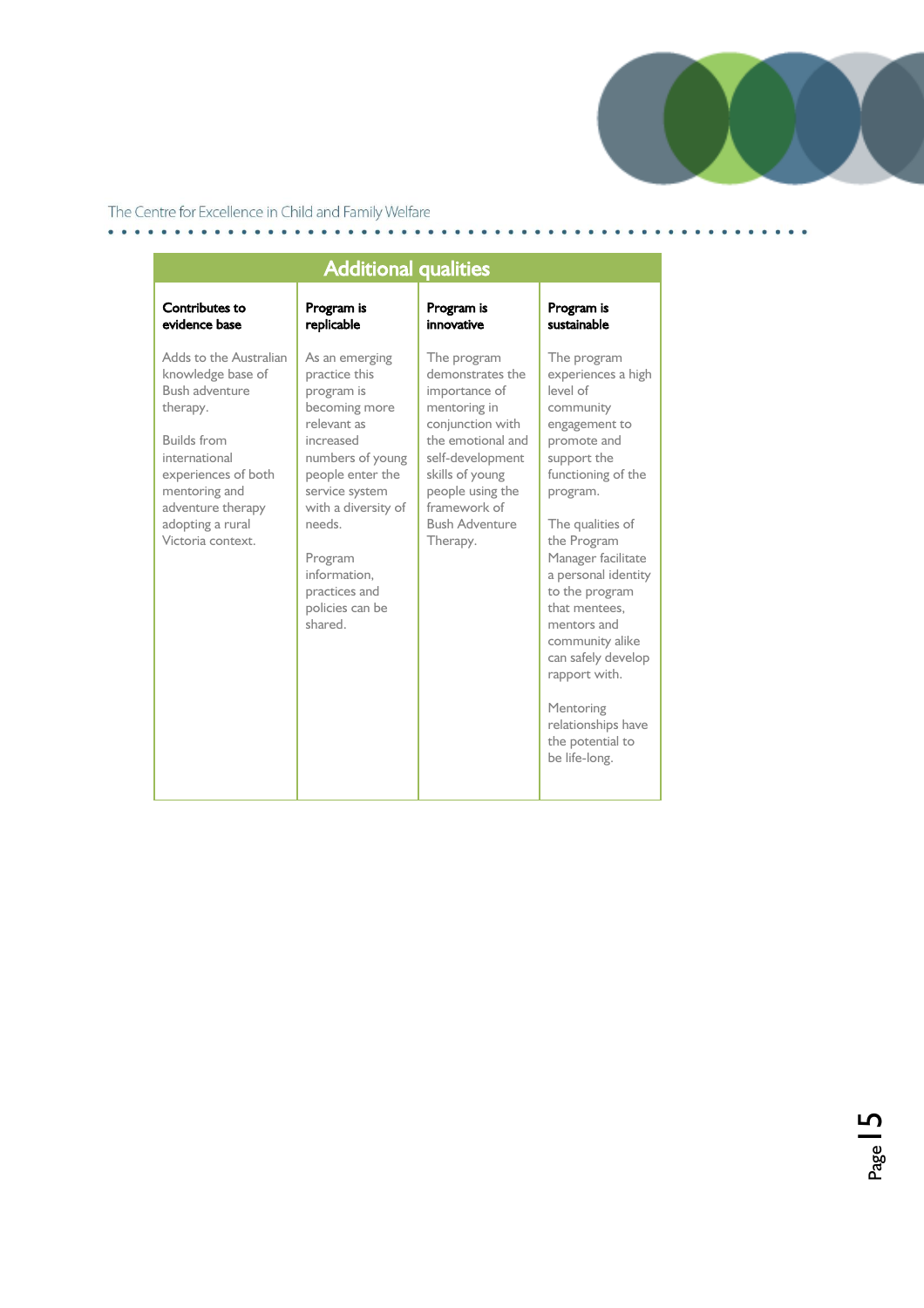

| <b>Additional qualities</b>                                                                                                                                                                                            |                                                                                                                                                                                                                                                                 |                                                                                                                                                                                                                           |                                                                                                                                                                                                                                                                                                                                                                                                                 |
|------------------------------------------------------------------------------------------------------------------------------------------------------------------------------------------------------------------------|-----------------------------------------------------------------------------------------------------------------------------------------------------------------------------------------------------------------------------------------------------------------|---------------------------------------------------------------------------------------------------------------------------------------------------------------------------------------------------------------------------|-----------------------------------------------------------------------------------------------------------------------------------------------------------------------------------------------------------------------------------------------------------------------------------------------------------------------------------------------------------------------------------------------------------------|
| Contributes to<br>evidence base                                                                                                                                                                                        | Program is<br>replicable                                                                                                                                                                                                                                        | Program is<br>innovative                                                                                                                                                                                                  | Program is<br>sustainable                                                                                                                                                                                                                                                                                                                                                                                       |
| Adds to the Australian<br>knowledge base of<br>Bush adventure<br>therapy.<br><b>Builds from</b><br>international<br>experiences of both<br>mentoring and<br>adventure therapy<br>adopting a rural<br>Victoria context. | As an emerging<br>practice this<br>program is<br>becoming more<br>relevant as<br>increased<br>numbers of young<br>people enter the<br>service system<br>with a diversity of<br>needs.<br>Program<br>information.<br>practices and<br>policies can be<br>shared. | The program<br>demonstrates the<br>importance of<br>mentoring in<br>conjunction with<br>the emotional and<br>self-development<br>skills of young<br>people using the<br>framework of<br><b>Bush Adventure</b><br>Therapy. | The program<br>experiences a high<br>level of<br>community<br>engagement to<br>promote and<br>support the<br>functioning of the<br>program.<br>The qualities of<br>the Program<br>Manager facilitate<br>a personal identity<br>to the program<br>that mentees.<br>mentors and<br>community alike<br>can safely develop<br>rapport with.<br>Mentoring<br>relationships have<br>the potential to<br>be life-long. |

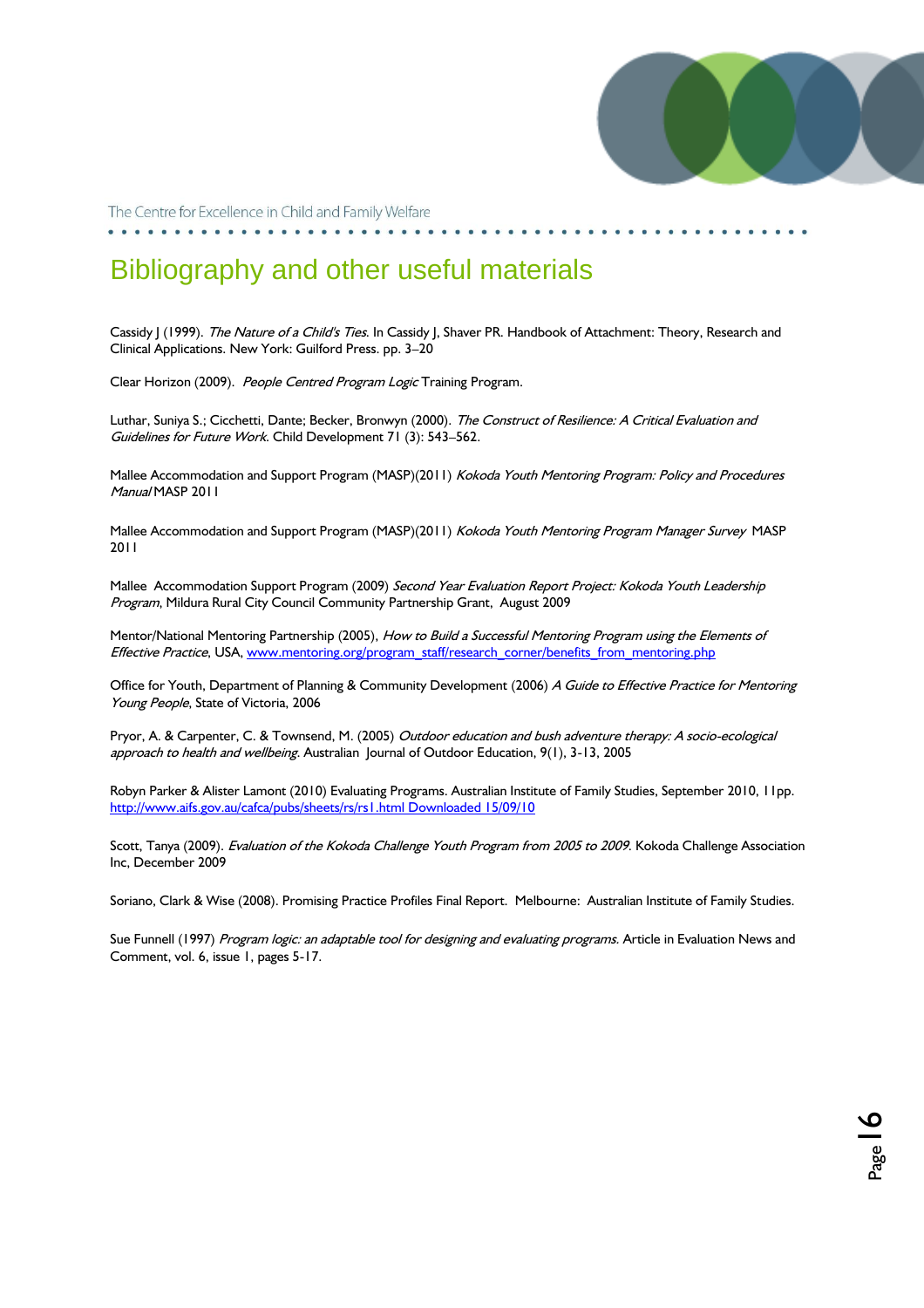

 $P_{\text{age}}$  | 6

The Centre for Excellence in Child and Family Welfare

### Bibliography and other useful materials

Cassidy J (1999). The Nature of a Child's Ties. In Cassidy J, Shaver PR. Handbook of Attachment: Theory, Research and Clinical Applications. New York: Guilford Press. pp. 3–20

Clear Horizon (2009). People Centred Program Logic Training Program.

Luthar, Suniya S.; Cicchetti, Dante; Becker, Bronwyn (2000). The Construct of Resilience: A Critical Evaluation and Guidelines for Future Work. Child Development 71 (3): 543–562.

Mallee Accommodation and Support Program (MASP)(2011) Kokoda Youth Mentoring Program: Policy and Procedures Manual MASP 2011

Mallee Accommodation and Support Program (MASP)(2011) Kokoda Youth Mentoring Program Manager Survey MASP 2011

Mallee Accommodation Support Program (2009) Second Year Evaluation Report Project: Kokoda Youth Leadership Program, Mildura Rural City Council Community Partnership Grant, August 2009

Mentor/National Mentoring Partnership (2005), How to Build a Successful Mentoring Program using the Elements of Effective Practice, USA, [www.mentoring.org/program\\_staff/research\\_corner/benefits\\_from\\_mentoring.php](http://www.mentoring.org/program_staff/research_corner/benefits_from_mentoring.php)

Office for Youth, Department of Planning & Community Development (2006) A Guide to Effective Practice for Mentoring Young People, State of Victoria, 2006

Pryor, A. & Carpenter, C. & Townsend, M. (2005) Outdoor education and bush adventure therapy: A socio-ecological approach to health and wellbeing. Australian Journal of Outdoor Education, 9(1), 3-13, 2005

Robyn Parker & Alister Lamont (2010) Evaluating Programs. Australian Institute of Family Studies, September 2010, 11pp. [http://www.aifs.gov.au/cafca/pubs/sheets/rs/rs1.html Downloaded 15/09/10](http://www.aifs.gov.au/cafca/pubs/sheets/rs/rs1.html%20Downloaded%2015/09/10)

Scott, Tanya (2009). Evaluation of the Kokoda Challenge Youth Program from 2005 to 2009. Kokoda Challenge Association Inc, December 2009

Soriano, Clark & Wise (2008). Promising Practice Profiles Final Report. Melbourne: Australian Institute of Family Studies.

Sue Funnell (1997) Program logic: an adaptable tool for designing and evaluating programs. Article in Evaluation News and Comment, vol. 6, issue 1, pages 5-17.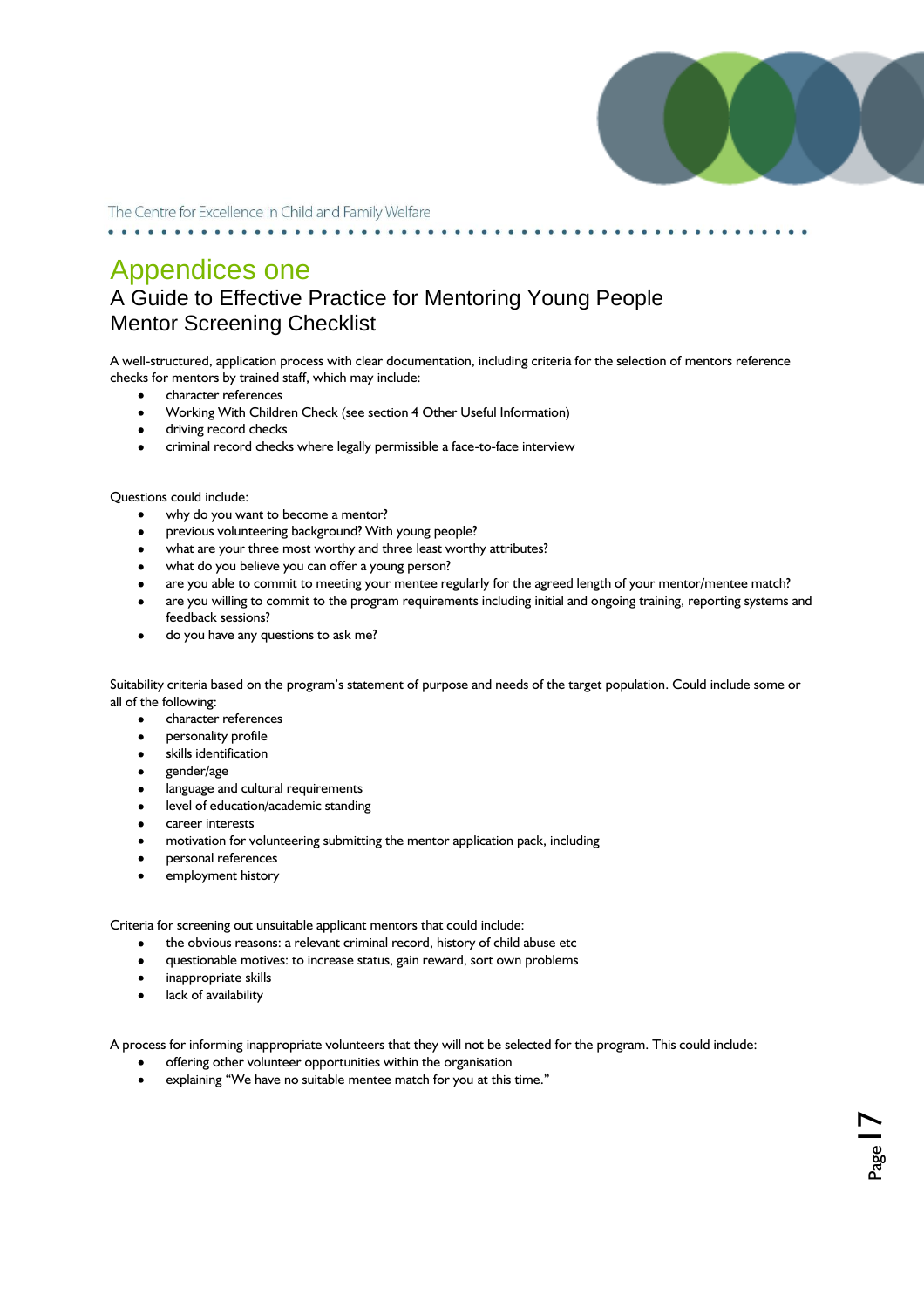

 $_{\rm Page}$  |  $7$ 

The Centre for Excellence in Child and Family Welfare

### Appendices one A Guide to Effective Practice for Mentoring Young People Mentor Screening Checklist

A well-structured, application process with clear documentation, including criteria for the selection of mentors reference checks for mentors by trained staff, which may include:

- character references  $\bullet$
- Working With Children Check (see section 4 Other Useful Information)
- $\bullet$ driving record checks
- criminal record checks where legally permissible a face-to-face interview

Questions could include:

- why do you want to become a mentor?
- previous volunteering background? With young people?
- what are your three most worthy and three least worthy attributes?
- what do you believe you can offer a young person?
- are you able to commit to meeting your mentee regularly for the agreed length of your mentor/mentee match?
- are you willing to commit to the program requirements including initial and ongoing training, reporting systems and feedback sessions?
- do you have any questions to ask me?

Suitability criteria based on the program"s statement of purpose and needs of the target population. Could include some or all of the following:

- character references
- personality profile
- skills identification
- gender/age
- language and cultural requirements
- level of education/academic standing
- career interests
- motivation for volunteering submitting the mentor application pack, including
- personal references
- employment history

Criteria for screening out unsuitable applicant mentors that could include:

- the obvious reasons: a relevant criminal record, history of child abuse etc  $\bullet$
- questionable motives: to increase status, gain reward, sort own problems  $\bullet$
- inappropriate skills
- $\bullet$ lack of availability

A process for informing inappropriate volunteers that they will not be selected for the program. This could include:

- offering other volunteer opportunities within the organisation
- explaining "We have no suitable mentee match for you at this time."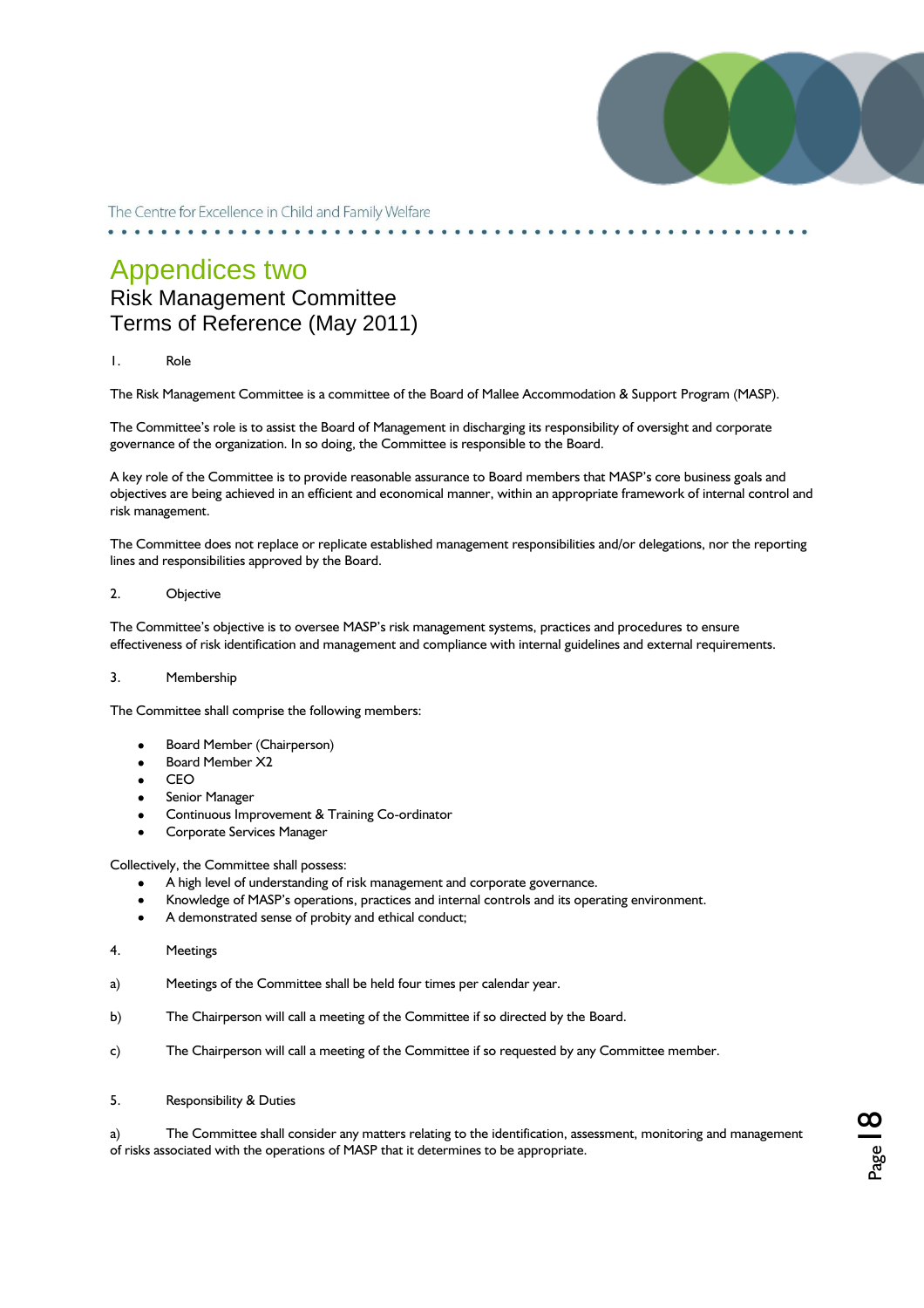

### Appendices two Risk Management Committee Terms of Reference (May 2011)

#### 1. Role

The Risk Management Committee is a committee of the Board of Mallee Accommodation & Support Program (MASP).

The Committee's role is to assist the Board of Management in discharging its responsibility of oversight and corporate governance of the organization. In so doing, the Committee is responsible to the Board.

A key role of the Committee is to provide reasonable assurance to Board members that MASP"s core business goals and objectives are being achieved in an efficient and economical manner, within an appropriate framework of internal control and risk management.

The Committee does not replace or replicate established management responsibilities and/or delegations, nor the reporting lines and responsibilities approved by the Board.

#### 2. Objective

The Committee"s objective is to oversee MASP"s risk management systems, practices and procedures to ensure effectiveness of risk identification and management and compliance with internal guidelines and external requirements.

### 3. Membership

The Committee shall comprise the following members:

- Board Member (Chairperson)
- Board Member X2
- CEO
- Senior Manager
- Continuous Improvement & Training Co-ordinator
- Corporate Services Manager

#### Collectively, the Committee shall possess:

- A high level of understanding of risk management and corporate governance.
- Knowledge of MASP"s operations, practices and internal controls and its operating environment.
- A demonstrated sense of probity and ethical conduct;  $\bullet$
- 4. Meetings
- a) Meetings of the Committee shall be held four times per calendar year.
- b) The Chairperson will call a meeting of the Committee if so directed by the Board.
- c) The Chairperson will call a meeting of the Committee if so requested by any Committee member.
- 5. Responsibility & Duties

a) The Committee shall consider any matters relating to the identification, assessment, monitoring and management of risks associated with the operations of MASP that it determines to be appropriate.

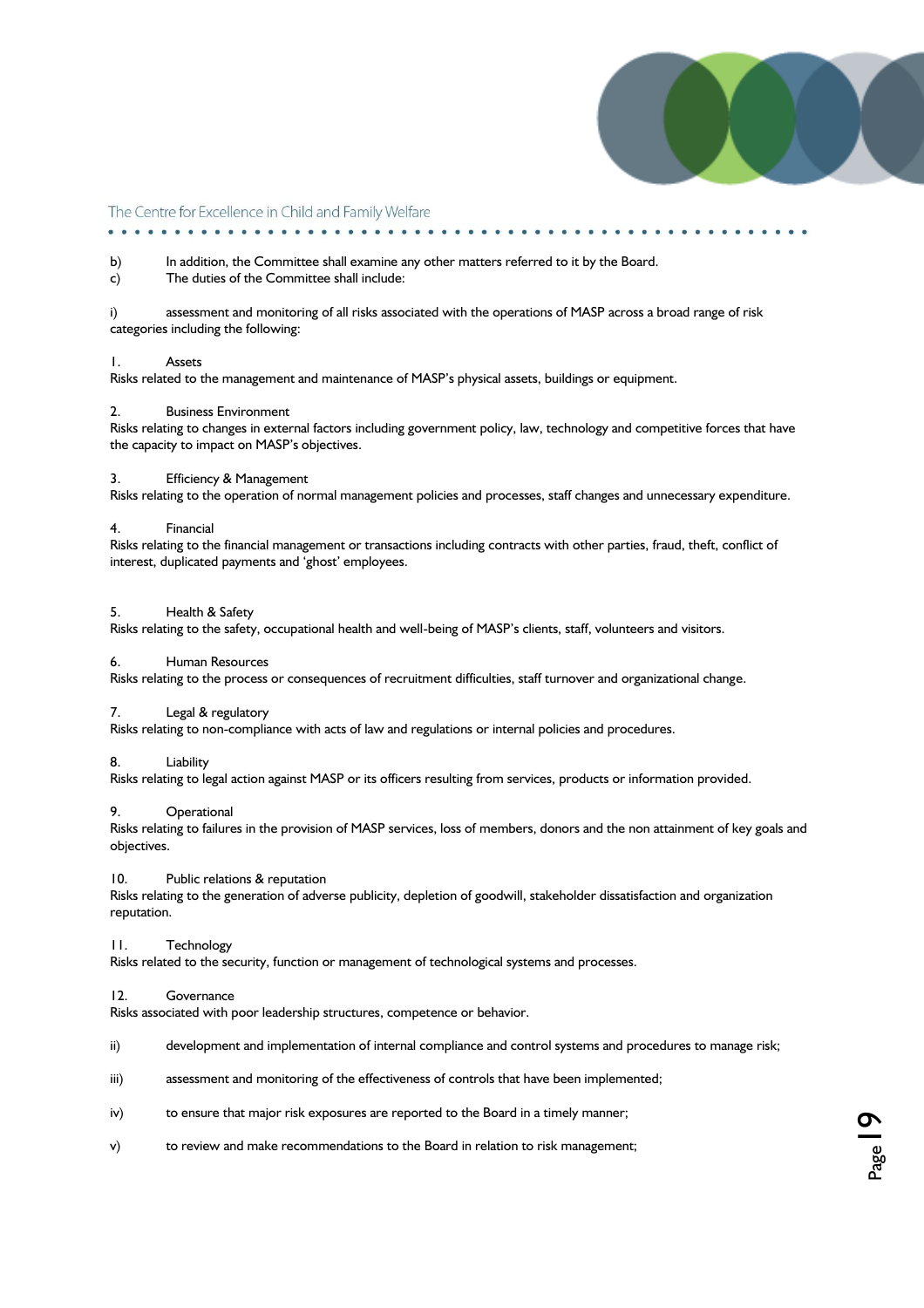

#### b) In addition, the Committee shall examine any other matters referred to it by the Board.

c) The duties of the Committee shall include:

i) assessment and monitoring of all risks associated with the operations of MASP across a broad range of risk categories including the following:

#### 1. Assets

Risks related to the management and maintenance of MASP"s physical assets, buildings or equipment.

#### 2. Business Environment

Risks relating to changes in external factors including government policy, law, technology and competitive forces that have the capacity to impact on MASP"s objectives.

#### 3. Efficiency & Management

Risks relating to the operation of normal management policies and processes, staff changes and unnecessary expenditure.

#### 4. Financial

Risks relating to the financial management or transactions including contracts with other parties, fraud, theft, conflict of interest, duplicated payments and 'ghost' employees.

#### 5. Health & Safety

Risks relating to the safety, occupational health and well-being of MASP"s clients, staff, volunteers and visitors.

#### 6. Human Resources

Risks relating to the process or consequences of recruitment difficulties, staff turnover and organizational change.

#### 7. Legal & regulatory

Risks relating to non-compliance with acts of law and regulations or internal policies and procedures.

#### 8. Liability

Risks relating to legal action against MASP or its officers resulting from services, products or information provided.

#### 9. Operational

Risks relating to failures in the provision of MASP services, loss of members, donors and the non attainment of key goals and objectives.

#### 10. Public relations & reputation

Risks relating to the generation of adverse publicity, depletion of goodwill, stakeholder dissatisfaction and organization reputation.

#### 11. Technology

Risks related to the security, function or management of technological systems and processes.

#### 12. Governance

Risks associated with poor leadership structures, competence or behavior.

- ii) development and implementation of internal compliance and control systems and procedures to manage risk;
- iii) assessment and monitoring of the effectiveness of controls that have been implemented;
- iv) to ensure that major risk exposures are reported to the Board in a timely manner;
- v) to review and make recommendations to the Board in relation to risk management;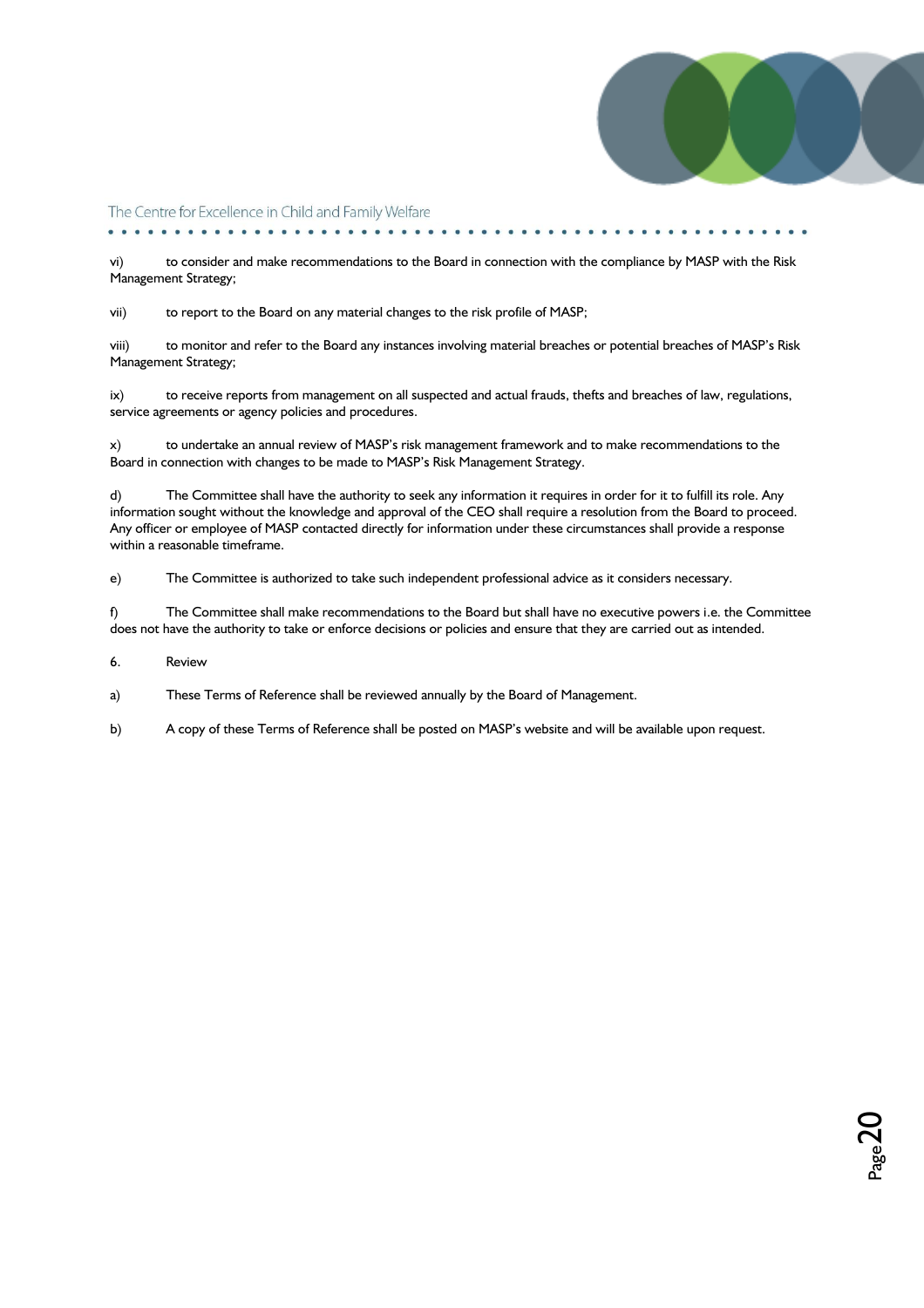

 $_{\rm Page}$ 20

The Centre for Excellence in Child and Family Welfare

vi) to consider and make recommendations to the Board in connection with the compliance by MASP with the Risk Management Strategy;

vii) to report to the Board on any material changes to the risk profile of MASP;

viii) to monitor and refer to the Board any instances involving material breaches or potential breaches of MASP"s Risk Management Strategy;

ix) to receive reports from management on all suspected and actual frauds, thefts and breaches of law, regulations, service agreements or agency policies and procedures.

x) to undertake an annual review of MASP"s risk management framework and to make recommendations to the Board in connection with changes to be made to MASP"s Risk Management Strategy.

d) The Committee shall have the authority to seek any information it requires in order for it to fulfill its role. Any information sought without the knowledge and approval of the CEO shall require a resolution from the Board to proceed. Any officer or employee of MASP contacted directly for information under these circumstances shall provide a response within a reasonable timeframe.

e) The Committee is authorized to take such independent professional advice as it considers necessary.

f) The Committee shall make recommendations to the Board but shall have no executive powers i.e. the Committee does not have the authority to take or enforce decisions or policies and ensure that they are carried out as intended.

6. Review

a) These Terms of Reference shall be reviewed annually by the Board of Management.

b) A copy of these Terms of Reference shall be posted on MASP"s website and will be available upon request.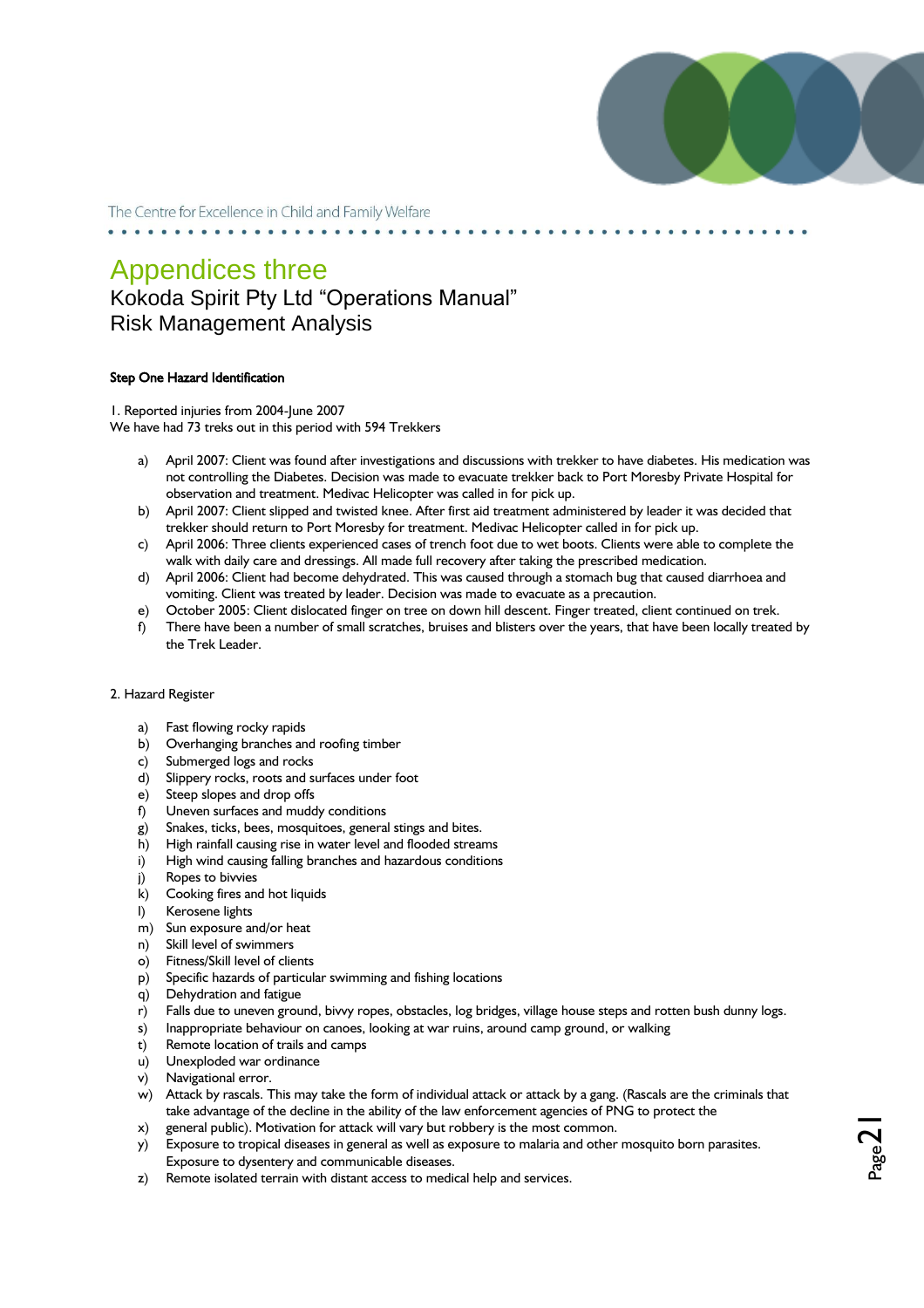

 $_{\rm Page}$ 21

The Centre for Excellence in Child and Family Welfare

### Appendices three Kokoda Spirit Pty Ltd "Operations Manual" Risk Management Analysis

#### Step One Hazard Identification

1. Reported injuries from 2004-June 2007 We have had 73 treks out in this period with 594 Trekkers

- a) April 2007: Client was found after investigations and discussions with trekker to have diabetes. His medication was not controlling the Diabetes. Decision was made to evacuate trekker back to Port Moresby Private Hospital for observation and treatment. Medivac Helicopter was called in for pick up.
- b) April 2007: Client slipped and twisted knee. After first aid treatment administered by leader it was decided that trekker should return to Port Moresby for treatment. Medivac Helicopter called in for pick up.
- c) April 2006: Three clients experienced cases of trench foot due to wet boots. Clients were able to complete the walk with daily care and dressings. All made full recovery after taking the prescribed medication.
- d) April 2006: Client had become dehydrated. This was caused through a stomach bug that caused diarrhoea and vomiting. Client was treated by leader. Decision was made to evacuate as a precaution.
- e) October 2005: Client dislocated finger on tree on down hill descent. Finger treated, client continued on trek.
- f) There have been a number of small scratches, bruises and blisters over the years, that have been locally treated by the Trek Leader.

#### 2. Hazard Register

- a) Fast flowing rocky rapids
- b) Overhanging branches and roofing timber
- c) Submerged logs and rocks
- d) Slippery rocks, roots and surfaces under foot
- e) Steep slopes and drop offs
- f) Uneven surfaces and muddy conditions
- g) Snakes, ticks, bees, mosquitoes, general stings and bites.
- h) High rainfall causing rise in water level and flooded streams
- i) High wind causing falling branches and hazardous conditions
- j) Ropes to bivvies
- k) Cooking fires and hot liquids
- l) Kerosene lights
- m) Sun exposure and/or heat
- n) Skill level of swimmers
- o) Fitness/Skill level of clients
- p) Specific hazards of particular swimming and fishing locations
- q) Dehydration and fatigue
- r) Falls due to uneven ground, bivvy ropes, obstacles, log bridges, village house steps and rotten bush dunny logs.
- Inappropriate behaviour on canoes, looking at war ruins, around camp ground, or walking
- t) Remote location of trails and camps
- u) Unexploded war ordinance
- v) Navigational error.
- w) Attack by rascals. This may take the form of individual attack or attack by a gang. (Rascals are the criminals that take advantage of the decline in the ability of the law enforcement agencies of PNG to protect the
- x) general public). Motivation for attack will vary but robbery is the most common.
- y) Exposure to tropical diseases in general as well as exposure to malaria and other mosquito born parasites. Exposure to dysentery and communicable diseases.
- z) Remote isolated terrain with distant access to medical help and services.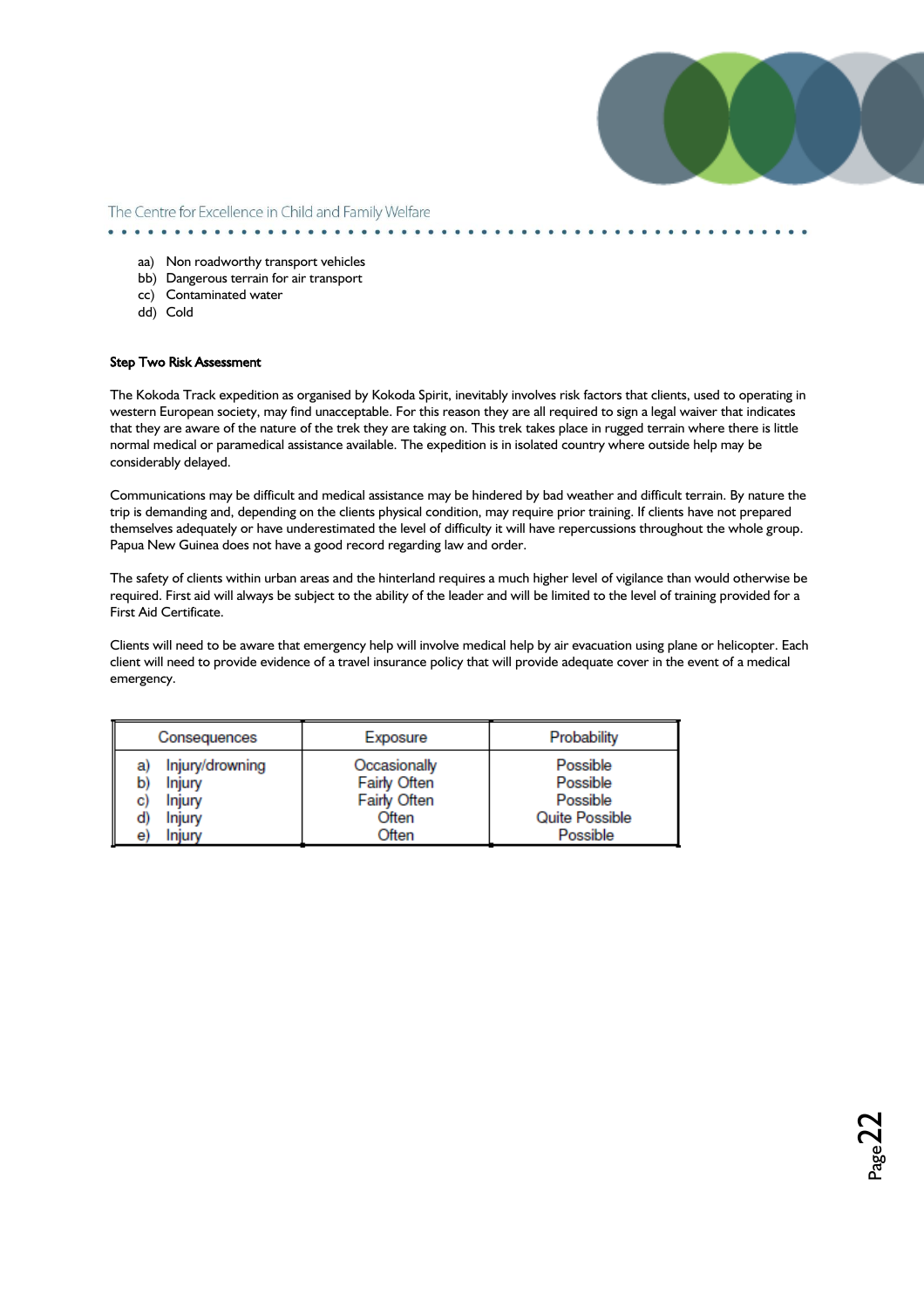

aa) Non roadworthy transport vehicles

- bb) Dangerous terrain for air transport
- cc) Contaminated water
- dd) Cold

#### Step Two Risk Assessment

The Kokoda Track expedition as organised by Kokoda Spirit, inevitably involves risk factors that clients, used to operating in western European society, may find unacceptable. For this reason they are all required to sign a legal waiver that indicates that they are aware of the nature of the trek they are taking on. This trek takes place in rugged terrain where there is little normal medical or paramedical assistance available. The expedition is in isolated country where outside help may be considerably delayed.

Communications may be difficult and medical assistance may be hindered by bad weather and difficult terrain. By nature the trip is demanding and, depending on the clients physical condition, may require prior training. If clients have not prepared themselves adequately or have underestimated the level of difficulty it will have repercussions throughout the whole group. Papua New Guinea does not have a good record regarding law and order.

The safety of clients within urban areas and the hinterland requires a much higher level of vigilance than would otherwise be required. First aid will always be subject to the ability of the leader and will be limited to the level of training provided for a First Aid Certificate.

Clients will need to be aware that emergency help will involve medical help by air evacuation using plane or helicopter. Each client will need to provide evidence of a travel insurance policy that will provide adequate cover in the event of a medical emergency.

| Consequences                                                                                 | Exposure                                                       | Probability                                                    |  |
|----------------------------------------------------------------------------------------------|----------------------------------------------------------------|----------------------------------------------------------------|--|
| Injury/drowning<br>a)<br>Injury<br>b)<br>Injury<br>C)<br><b>Injury</b><br>d)<br>Injury<br>e) | Occasionally<br>Fairly Often<br>Fairly Often<br>Often<br>Often | Possible<br>Possible<br>Possible<br>Quite Possible<br>Possible |  |

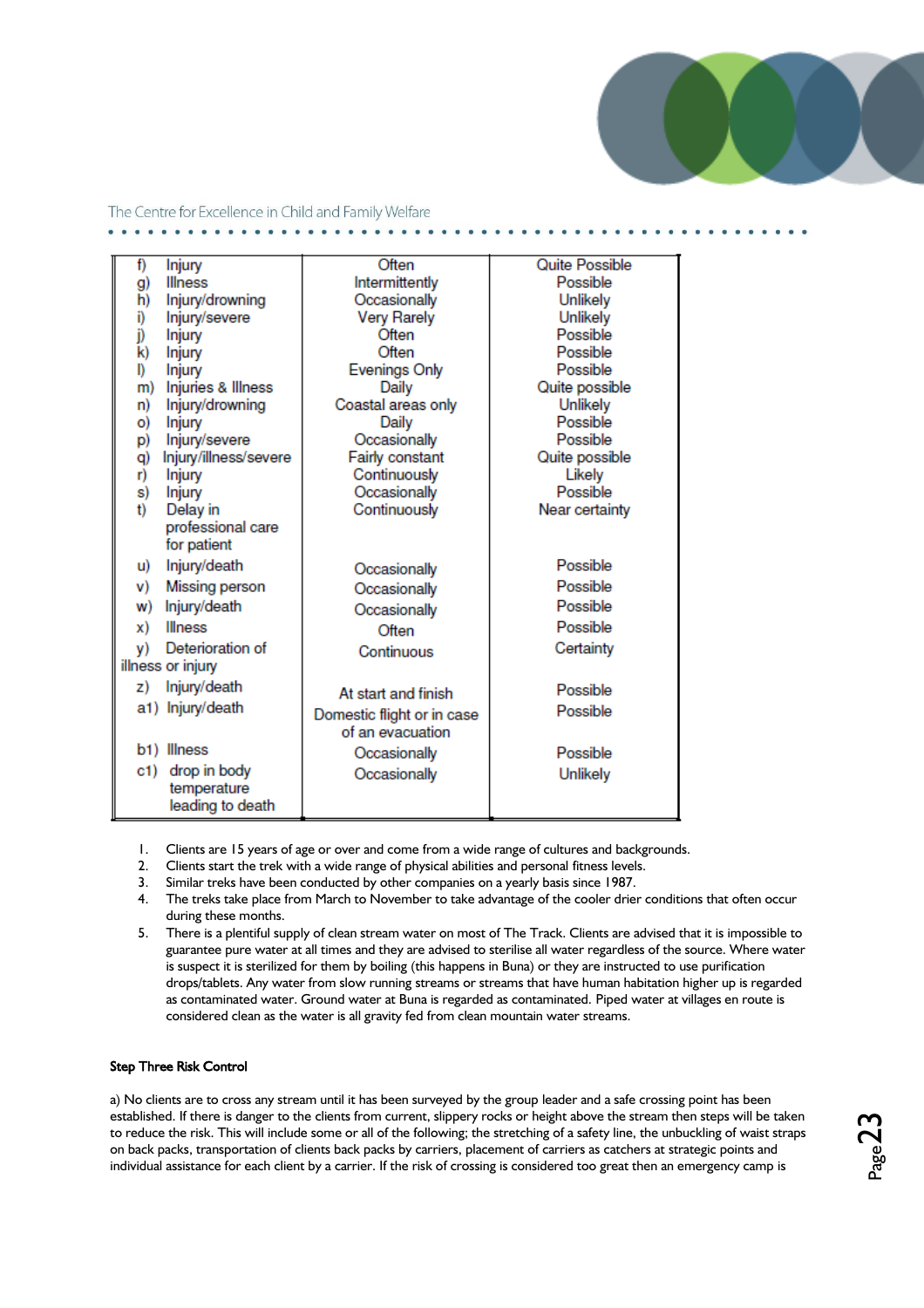

| f)  | Injury                   | Often                                          | <b>Quite Possible</b> |
|-----|--------------------------|------------------------------------------------|-----------------------|
| g)  | <b>Illness</b>           | Intermittently                                 | Possible              |
| h)  | Injury/drowning          | Occasionally                                   | Unlikely              |
| i)  | Injury/severe            | <b>Very Rarely</b>                             | Unlikely              |
| j)  | <b>Injury</b>            | Often                                          | Possible              |
| k)  | <b>Injury</b>            | Often                                          | Possible              |
| D   | Injury                   | <b>Evenings Only</b>                           | Possible              |
| m)  | Injuries & Illness       | Daily                                          | Quite possible        |
| n)  | Injury/drowning          | Coastal areas only                             | Unlikely              |
| O)  | Injury                   | Daily                                          | Possible              |
| p)  | Injury/severe            | Occasionally                                   | Possible              |
| q)  | Injury/illness/severe    | Fairly constant                                | Quite possible        |
| r)  | <b>Injury</b>            | Continuously                                   | Likely                |
| s)  | <b>Injury</b>            | Occasionally                                   | Possible              |
| t)  | Delay in                 | Continuously                                   | Near certainty        |
|     | professional care        |                                                |                       |
|     | for patient              |                                                |                       |
| u)  | Injury/death             | Occasionally                                   | Possible              |
| v)  | Missing person           | Occasionally                                   | Possible              |
| W)  | Injury/death             | Occasionally                                   | Possible              |
| x)  | <b>Illness</b>           | Often                                          | Possible              |
| y)  | Deterioration of         | Continuous                                     | Certainty             |
|     | illness or injury        |                                                |                       |
| z)  | Injury/death             | At start and finish                            | Possible              |
|     | a1) Injury/death         |                                                | Possible              |
|     |                          | Domestic flight or in case<br>of an evacuation |                       |
|     | b <sub>1</sub> ) Illness |                                                |                       |
|     |                          | Occasionally                                   | Possible              |
| c1) | drop in body             | Occasionally                                   | Unlikely              |
|     | temperature              |                                                |                       |
|     | leading to death         |                                                |                       |

- 1. Clients are 15 years of age or over and come from a wide range of cultures and backgrounds.
- 2. Clients start the trek with a wide range of physical abilities and personal fitness levels.
- 3. Similar treks have been conducted by other companies on a yearly basis since 1987.
- 4. The treks take place from March to November to take advantage of the cooler drier conditions that often occur during these months.
- 5. There is a plentiful supply of clean stream water on most of The Track. Clients are advised that it is impossible to guarantee pure water at all times and they are advised to sterilise all water regardless of the source. Where water is suspect it is sterilized for them by boiling (this happens in Buna) or they are instructed to use purification drops/tablets. Any water from slow running streams or streams that have human habitation higher up is regarded as contaminated water. Ground water at Buna is regarded as contaminated. Piped water at villages en route is considered clean as the water is all gravity fed from clean mountain water streams.

### Step Three Risk Control

a) No clients are to cross any stream until it has been surveyed by the group leader and a safe crossing point has been established. If there is danger to the clients from current, slippery rocks or height above the stream then steps will be taken to reduce the risk. This will include some or all of the following; the stretching of a safety line, the unbuckling of waist straps on back packs, transportation of clients back packs by carriers, placement of carriers as catchers at strategic points and individual assistance for each client by a carrier. If the risk of crossing is considered too great then an emergency camp is

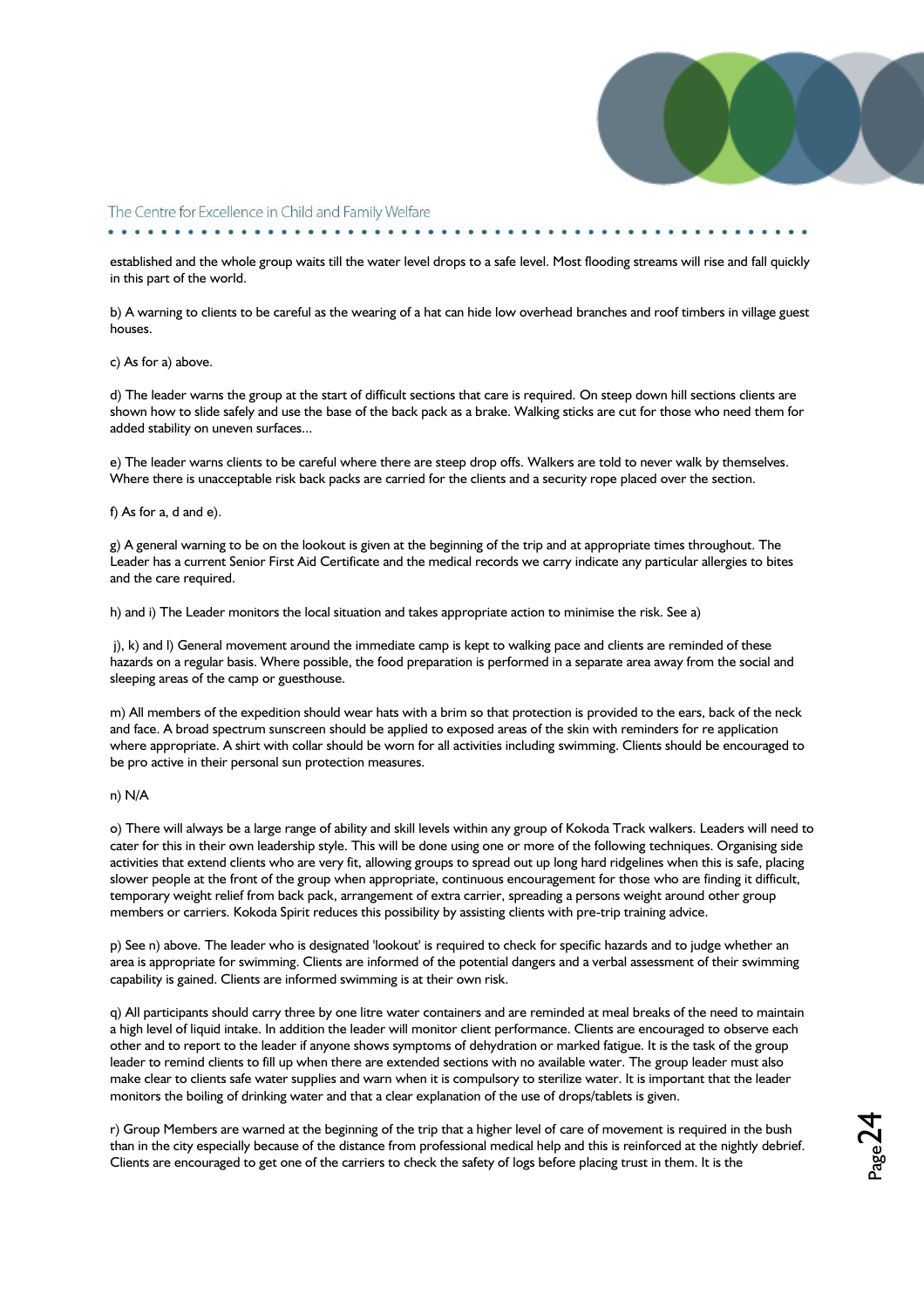

. . . . . . . . . . . . . . . .

established and the whole group waits till the water level drops to a safe level. Most flooding streams will rise and fall quickly in this part of the world.

b) A warning to clients to be careful as the wearing of a hat can hide low overhead branches and roof timbers in village guest houses.

#### c) As for a) above.

d) The leader warns the group at the start of difficult sections that care is required. On steep down hill sections clients are shown how to slide safely and use the base of the back pack as a brake. Walking sticks are cut for those who need them for added stability on uneven surfaces...

e) The leader warns clients to be careful where there are steep drop offs. Walkers are told to never walk by themselves. Where there is unacceptable risk back packs are carried for the clients and a security rope placed over the section.

#### f) As for a, d and e).

g) A general warning to be on the lookout is given at the beginning of the trip and at appropriate times throughout. The Leader has a current Senior First Aid Certificate and the medical records we carry indicate any particular allergies to bites and the care required.

h) and i) The Leader monitors the local situation and takes appropriate action to minimise the risk. See a)

j), k) and l) General movement around the immediate camp is kept to walking pace and clients are reminded of these hazards on a regular basis. Where possible, the food preparation is performed in a separate area away from the social and sleeping areas of the camp or guesthouse.

m) All members of the expedition should wear hats with a brim so that protection is provided to the ears, back of the neck and face. A broad spectrum sunscreen should be applied to exposed areas of the skin with reminders for re application where appropriate. A shirt with collar should be worn for all activities including swimming. Clients should be encouraged to be pro active in their personal sun protection measures.

#### n) N/A

o) There will always be a large range of ability and skill levels within any group of Kokoda Track walkers. Leaders will need to cater for this in their own leadership style. This will be done using one or more of the following techniques. Organising side activities that extend clients who are very fit, allowing groups to spread out up long hard ridgelines when this is safe, placing slower people at the front of the group when appropriate, continuous encouragement for those who are finding it difficult, temporary weight relief from back pack, arrangement of extra carrier, spreading a persons weight around other group members or carriers. Kokoda Spirit reduces this possibility by assisting clients with pre-trip training advice.

p) See n) above. The leader who is designated 'lookout' is required to check for specific hazards and to judge whether an area is appropriate for swimming. Clients are informed of the potential dangers and a verbal assessment of their swimming capability is gained. Clients are informed swimming is at their own risk.

q) All participants should carry three by one litre water containers and are reminded at meal breaks of the need to maintain a high level of liquid intake. In addition the leader will monitor client performance. Clients are encouraged to observe each other and to report to the leader if anyone shows symptoms of dehydration or marked fatigue. It is the task of the group leader to remind clients to fill up when there are extended sections with no available water. The group leader must also make clear to clients safe water supplies and warn when it is compulsory to sterilize water. It is important that the leader monitors the boiling of drinking water and that a clear explanation of the use of drops/tablets is given.

r) Group Members are warned at the beginning of the trip that a higher level of care of movement is required in the bush than in the city especially because of the distance from professional medical help and this is reinforced at the nightly debrief. Clients are encouraged to get one of the carriers to check the safety of logs before placing trust in them. It is the

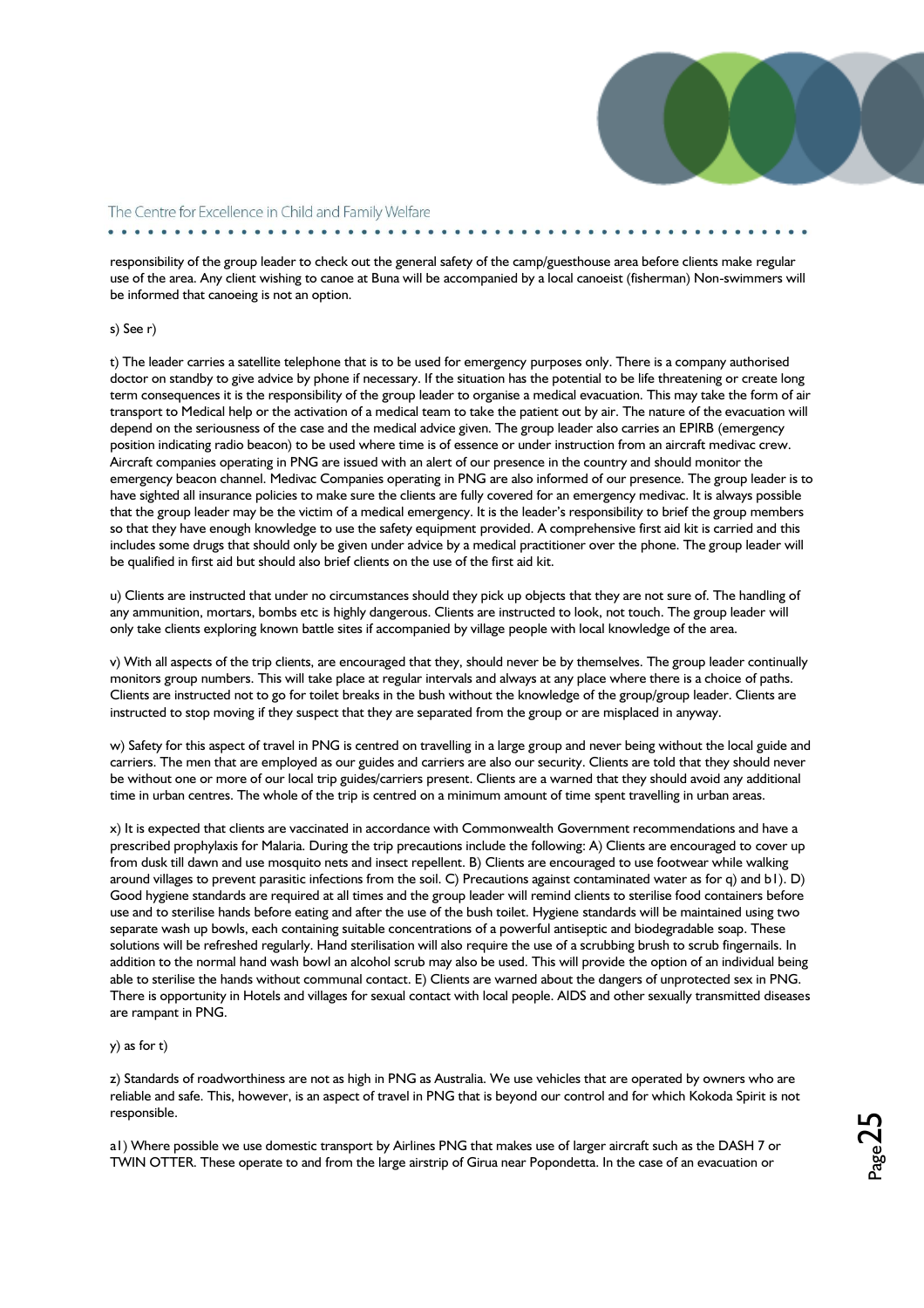

responsibility of the group leader to check out the general safety of the camp/guesthouse area before clients make regular use of the area. Any client wishing to canoe at Buna will be accompanied by a local canoeist (fisherman) Non-swimmers will be informed that canoeing is not an option.

#### s) See r)

t) The leader carries a satellite telephone that is to be used for emergency purposes only. There is a company authorised doctor on standby to give advice by phone if necessary. If the situation has the potential to be life threatening or create long term consequences it is the responsibility of the group leader to organise a medical evacuation. This may take the form of air transport to Medical help or the activation of a medical team to take the patient out by air. The nature of the evacuation will depend on the seriousness of the case and the medical advice given. The group leader also carries an EPIRB (emergency position indicating radio beacon) to be used where time is of essence or under instruction from an aircraft medivac crew. Aircraft companies operating in PNG are issued with an alert of our presence in the country and should monitor the emergency beacon channel. Medivac Companies operating in PNG are also informed of our presence. The group leader is to have sighted all insurance policies to make sure the clients are fully covered for an emergency medivac. It is always possible that the group leader may be the victim of a medical emergency. It is the leader's responsibility to brief the group members so that they have enough knowledge to use the safety equipment provided. A comprehensive first aid kit is carried and this includes some drugs that should only be given under advice by a medical practitioner over the phone. The group leader will be qualified in first aid but should also brief clients on the use of the first aid kit.

u) Clients are instructed that under no circumstances should they pick up objects that they are not sure of. The handling of any ammunition, mortars, bombs etc is highly dangerous. Clients are instructed to look, not touch. The group leader will only take clients exploring known battle sites if accompanied by village people with local knowledge of the area.

v) With all aspects of the trip clients, are encouraged that they, should never be by themselves. The group leader continually monitors group numbers. This will take place at regular intervals and always at any place where there is a choice of paths. Clients are instructed not to go for toilet breaks in the bush without the knowledge of the group/group leader. Clients are instructed to stop moving if they suspect that they are separated from the group or are misplaced in anyway.

w) Safety for this aspect of travel in PNG is centred on travelling in a large group and never being without the local guide and carriers. The men that are employed as our guides and carriers are also our security. Clients are told that they should never be without one or more of our local trip guides/carriers present. Clients are a warned that they should avoid any additional time in urban centres. The whole of the trip is centred on a minimum amount of time spent travelling in urban areas.

x) It is expected that clients are vaccinated in accordance with Commonwealth Government recommendations and have a prescribed prophylaxis for Malaria. During the trip precautions include the following: A) Clients are encouraged to cover up from dusk till dawn and use mosquito nets and insect repellent. B) Clients are encouraged to use footwear while walking around villages to prevent parasitic infections from the soil. C) Precautions against contaminated water as for q) and b1). D) Good hygiene standards are required at all times and the group leader will remind clients to sterilise food containers before use and to sterilise hands before eating and after the use of the bush toilet. Hygiene standards will be maintained using two separate wash up bowls, each containing suitable concentrations of a powerful antiseptic and biodegradable soap. These solutions will be refreshed regularly. Hand sterilisation will also require the use of a scrubbing brush to scrub fingernails. In addition to the normal hand wash bowl an alcohol scrub may also be used. This will provide the option of an individual being able to sterilise the hands without communal contact. E) Clients are warned about the dangers of unprotected sex in PNG. There is opportunity in Hotels and villages for sexual contact with local people. AIDS and other sexually transmitted diseases are rampant in PNG.

#### y) as for t)

z) Standards of roadworthiness are not as high in PNG as Australia. We use vehicles that are operated by owners who are reliable and safe. This, however, is an aspect of travel in PNG that is beyond our control and for which Kokoda Spirit is not responsible.

a1) Where possible we use domestic transport by Airlines PNG that makes use of larger aircraft such as the DASH 7 or TWIN OTTER. These operate to and from the large airstrip of Girua near Popondetta. In the case of an evacuation or

 $_{\rm Page}$ 25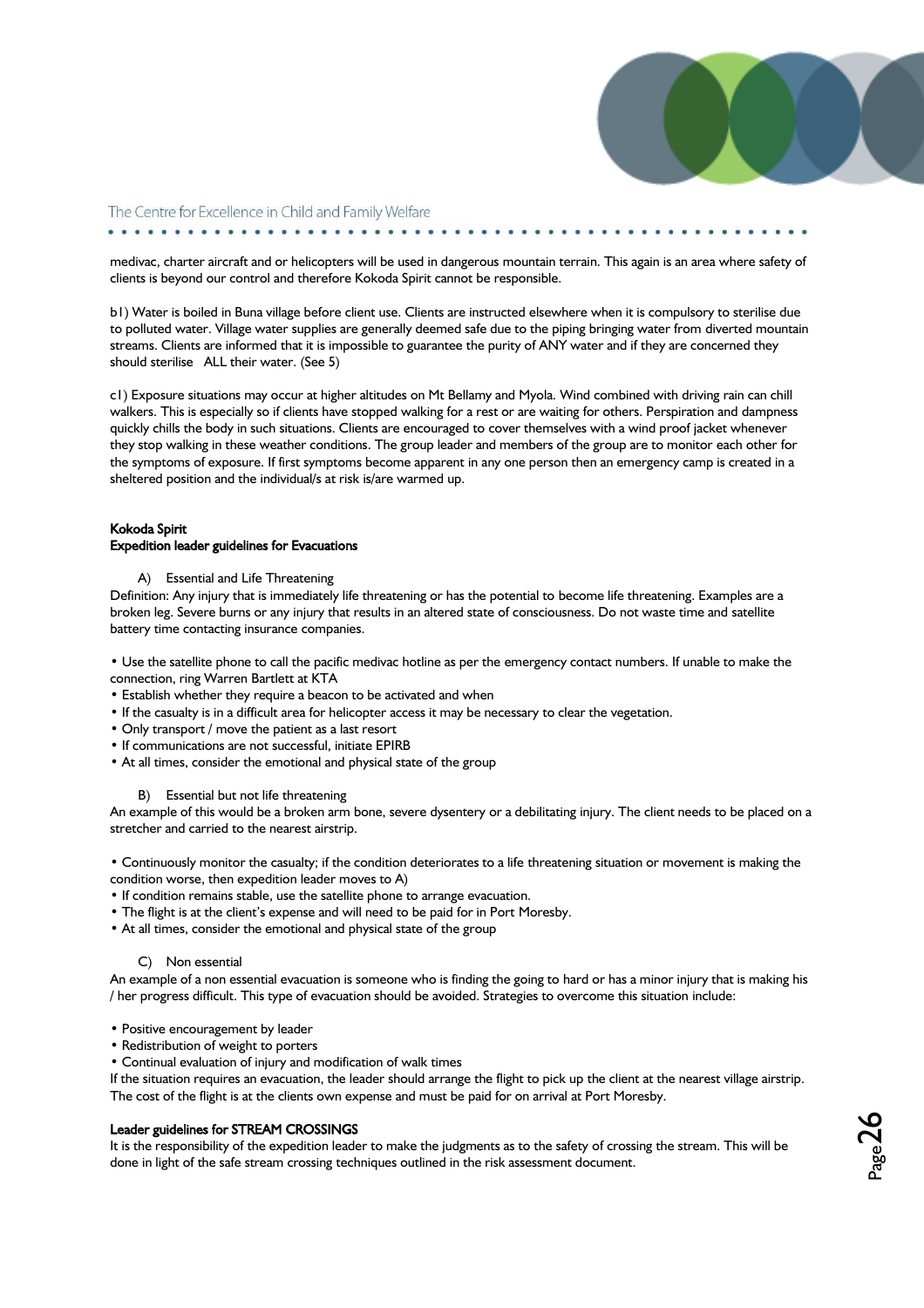

. . . . . . . . . . . . . . . . . .

medivac, charter aircraft and or helicopters will be used in dangerous mountain terrain. This again is an area where safety of clients is beyond our control and therefore Kokoda Spirit cannot be responsible.

b1) Water is boiled in Buna village before client use. Clients are instructed elsewhere when it is compulsory to sterilise due to polluted water. Village water supplies are generally deemed safe due to the piping bringing water from diverted mountain streams. Clients are informed that it is impossible to guarantee the purity of ANY water and if they are concerned they should sterilise ALL their water. (See 5)

c1) Exposure situations may occur at higher altitudes on Mt Bellamy and Myola. Wind combined with driving rain can chill walkers. This is especially so if clients have stopped walking for a rest or are waiting for others. Perspiration and dampness quickly chills the body in such situations. Clients are encouraged to cover themselves with a wind proof jacket whenever they stop walking in these weather conditions. The group leader and members of the group are to monitor each other for the symptoms of exposure. If first symptoms become apparent in any one person then an emergency camp is created in a sheltered position and the individual/s at risk is/are warmed up.

#### Kokoda Spirit Expedition leader guidelines for Evacuations

A) Essential and Life Threatening

Definition: Any injury that is immediately life threatening or has the potential to become life threatening. Examples are a broken leg. Severe burns or any injury that results in an altered state of consciousness. Do not waste time and satellite battery time contacting insurance companies.

• Use the satellite phone to call the pacific medivac hotline as per the emergency contact numbers. If unable to make the connection, ring Warren Bartlett at KTA

- Establish whether they require a beacon to be activated and when
- If the casualty is in a difficult area for helicopter access it may be necessary to clear the vegetation.
- Only transport / move the patient as a last resort
- If communications are not successful, initiate EPIRB
- At all times, consider the emotional and physical state of the group

#### B) Essential but not life threatening

An example of this would be a broken arm bone, severe dysentery or a debilitating injury. The client needs to be placed on a stretcher and carried to the nearest airstrip.

• Continuously monitor the casualty; if the condition deteriorates to a life threatening situation or movement is making the condition worse, then expedition leader moves to A)

- If condition remains stable, use the satellite phone to arrange evacuation.
- The flight is at the client's expense and will need to be paid for in Port Moresby.
- At all times, consider the emotional and physical state of the group

#### C) Non essential

An example of a non essential evacuation is someone who is finding the going to hard or has a minor injury that is making his / her progress difficult. This type of evacuation should be avoided. Strategies to overcome this situation include:

- Positive encouragement by leader
- Redistribution of weight to porters
- Continual evaluation of injury and modification of walk times

If the situation requires an evacuation, the leader should arrange the flight to pick up the client at the nearest village airstrip. The cost of the flight is at the clients own expense and must be paid for on arrival at Port Moresby.

#### Leader guidelines for STREAM CROSSINGS

It is the responsibility of the expedition leader to make the judgments as to the safety of crossing the stream. This will be done in light of the safe stream crossing techniques outlined in the risk assessment document.

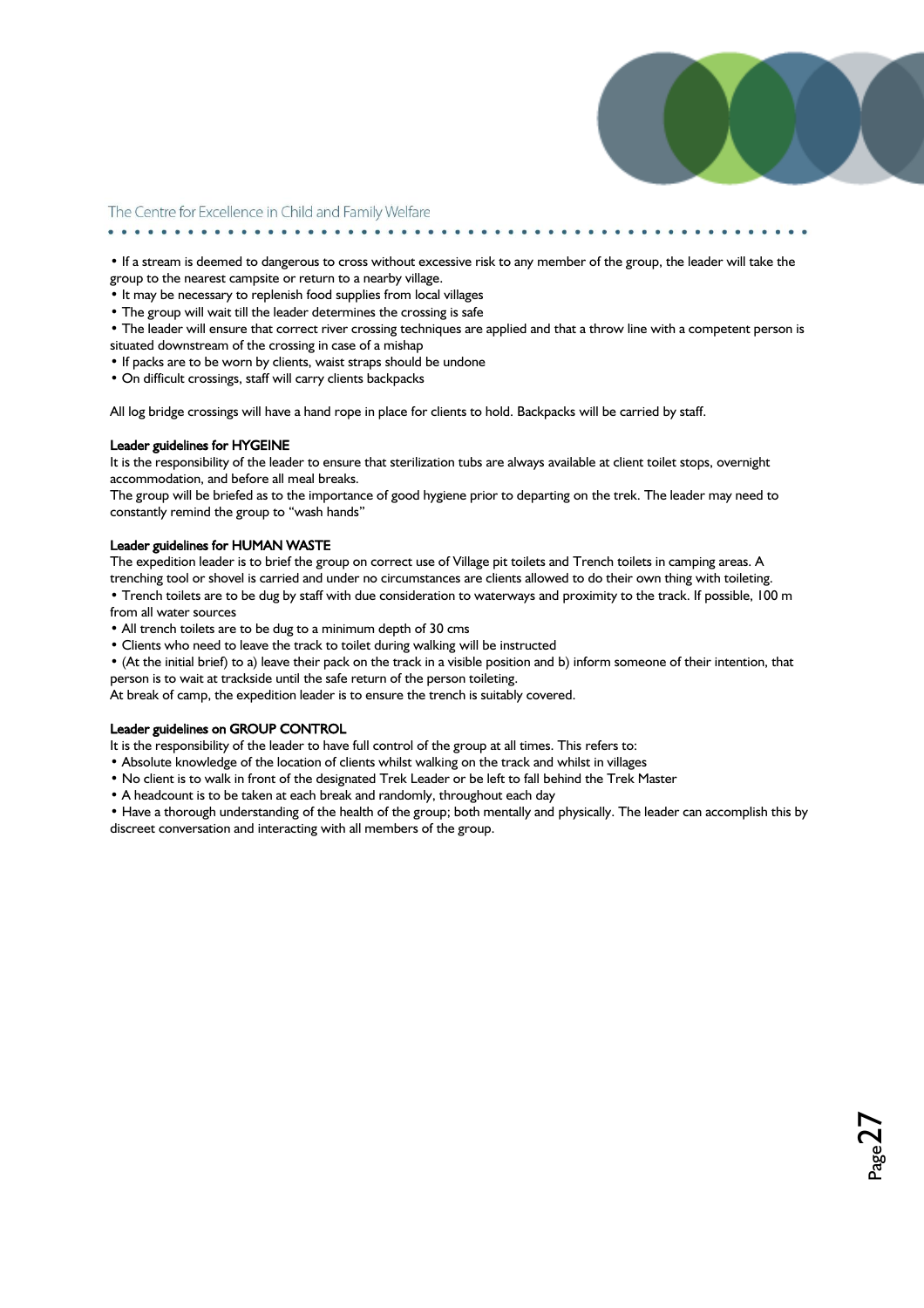

 $_{\rm Page}$ 27

The Centre for Excellence in Child and Family Welfare 

• If a stream is deemed to dangerous to cross without excessive risk to any member of the group, the leader will take the group to the nearest campsite or return to a nearby village.

- It may be necessary to replenish food supplies from local villages
- The group will wait till the leader determines the crossing is safe
- The leader will ensure that correct river crossing techniques are applied and that a throw line with a competent person is situated downstream of the crossing in case of a mishap
- If packs are to be worn by clients, waist straps should be undone
- On difficult crossings, staff will carry clients backpacks

All log bridge crossings will have a hand rope in place for clients to hold. Backpacks will be carried by staff.

#### Leader guidelines for HYGEINE

It is the responsibility of the leader to ensure that sterilization tubs are always available at client toilet stops, overnight accommodation, and before all meal breaks.

The group will be briefed as to the importance of good hygiene prior to departing on the trek. The leader may need to constantly remind the group to "wash hands"

#### Leader guidelines for HUMAN WASTE

The expedition leader is to brief the group on correct use of Village pit toilets and Trench toilets in camping areas. A trenching tool or shovel is carried and under no circumstances are clients allowed to do their own thing with toileting. • Trench toilets are to be dug by staff with due consideration to waterways and proximity to the track. If possible, 100 m

from all water sources

• All trench toilets are to be dug to a minimum depth of 30 cms

• Clients who need to leave the track to toilet during walking will be instructed

• (At the initial brief) to a) leave their pack on the track in a visible position and b) inform someone of their intention, that person is to wait at trackside until the safe return of the person toileting.

At break of camp, the expedition leader is to ensure the trench is suitably covered.

#### Leader guidelines on GROUP CONTROL

It is the responsibility of the leader to have full control of the group at all times. This refers to:

- Absolute knowledge of the location of clients whilst walking on the track and whilst in villages
- No client is to walk in front of the designated Trek Leader or be left to fall behind the Trek Master

• A headcount is to be taken at each break and randomly, throughout each day

• Have a thorough understanding of the health of the group; both mentally and physically. The leader can accomplish this by discreet conversation and interacting with all members of the group.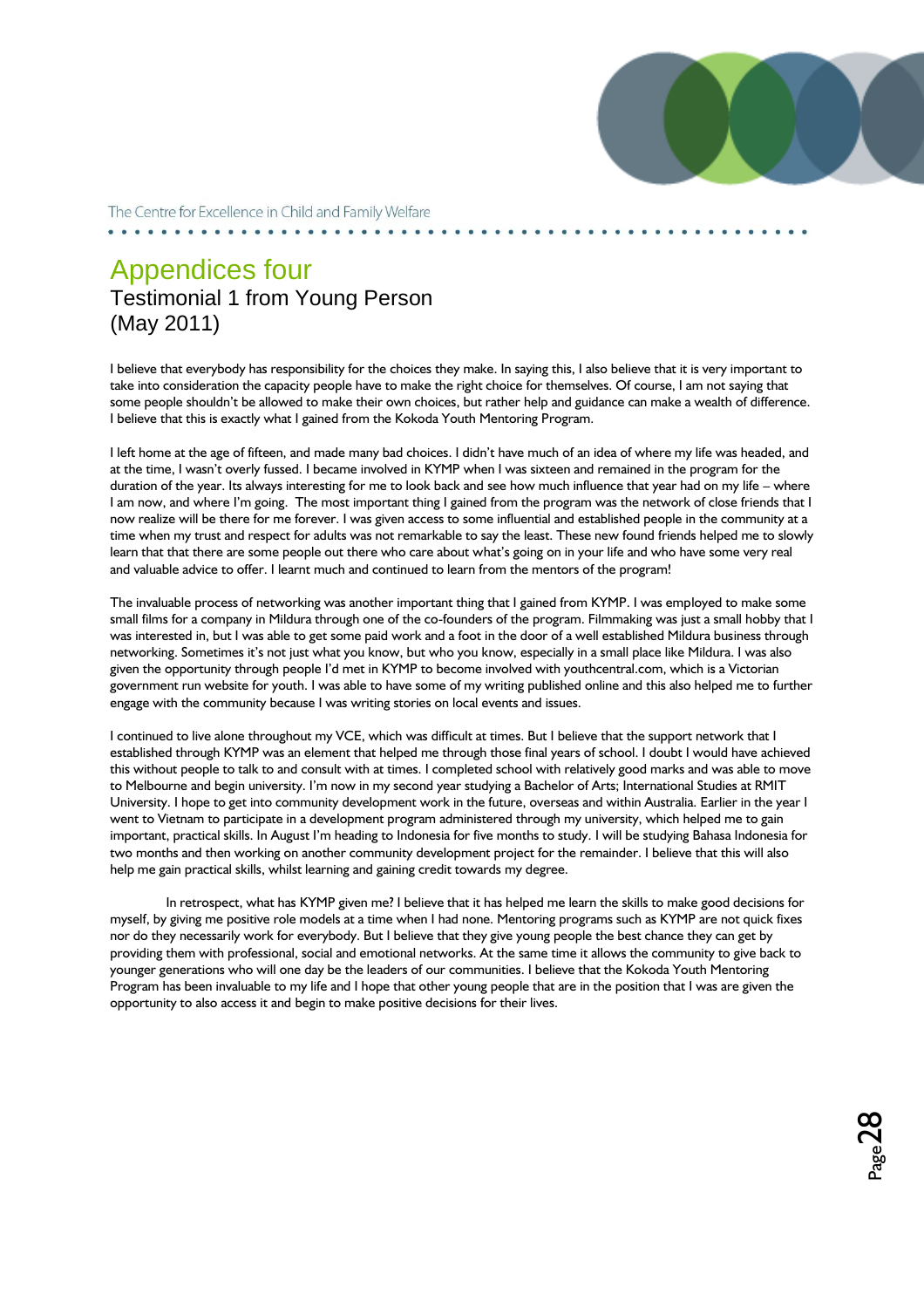

 $_{\rm Page}$ 28

The Centre for Excellence in Child and Family Welfare

### Appendices four Testimonial 1 from Young Person (May 2011)

I believe that everybody has responsibility for the choices they make. In saying this, I also believe that it is very important to take into consideration the capacity people have to make the right choice for themselves. Of course, I am not saying that some people shouldn"t be allowed to make their own choices, but rather help and guidance can make a wealth of difference. I believe that this is exactly what I gained from the Kokoda Youth Mentoring Program.

I left home at the age of fifteen, and made many bad choices. I didn't have much of an idea of where my life was headed, and at the time, I wasn't overly fussed. I became involved in KYMP when I was sixteen and remained in the program for the duration of the year. Its always interesting for me to look back and see how much influence that year had on my life – where I am now, and where I"m going. The most important thing I gained from the program was the network of close friends that I now realize will be there for me forever. I was given access to some influential and established people in the community at a time when my trust and respect for adults was not remarkable to say the least. These new found friends helped me to slowly learn that that there are some people out there who care about what's going on in your life and who have some very real and valuable advice to offer. I learnt much and continued to learn from the mentors of the program!

The invaluable process of networking was another important thing that I gained from KYMP. I was employed to make some small films for a company in Mildura through one of the co-founders of the program. Filmmaking was just a small hobby that I was interested in, but I was able to get some paid work and a foot in the door of a well established Mildura business through networking. Sometimes it's not just what you know, but who you know, especially in a small place like Mildura. I was also given the opportunity through people I"d met in KYMP to become involved with youthcentral.com, which is a Victorian government run website for youth. I was able to have some of my writing published online and this also helped me to further engage with the community because I was writing stories on local events and issues.

I continued to live alone throughout my VCE, which was difficult at times. But I believe that the support network that I established through KYMP was an element that helped me through those final years of school. I doubt I would have achieved this without people to talk to and consult with at times. I completed school with relatively good marks and was able to move to Melbourne and begin university. I"m now in my second year studying a Bachelor of Arts; International Studies at RMIT University. I hope to get into community development work in the future, overseas and within Australia. Earlier in the year I went to Vietnam to participate in a development program administered through my university, which helped me to gain important, practical skills. In August I"m heading to Indonesia for five months to study. I will be studying Bahasa Indonesia for two months and then working on another community development project for the remainder. I believe that this will also help me gain practical skills, whilst learning and gaining credit towards my degree.

In retrospect, what has KYMP given me? I believe that it has helped me learn the skills to make good decisions for myself, by giving me positive role models at a time when I had none. Mentoring programs such as KYMP are not quick fixes nor do they necessarily work for everybody. But I believe that they give young people the best chance they can get by providing them with professional, social and emotional networks. At the same time it allows the community to give back to younger generations who will one day be the leaders of our communities. I believe that the Kokoda Youth Mentoring Program has been invaluable to my life and I hope that other young people that are in the position that I was are given the opportunity to also access it and begin to make positive decisions for their lives.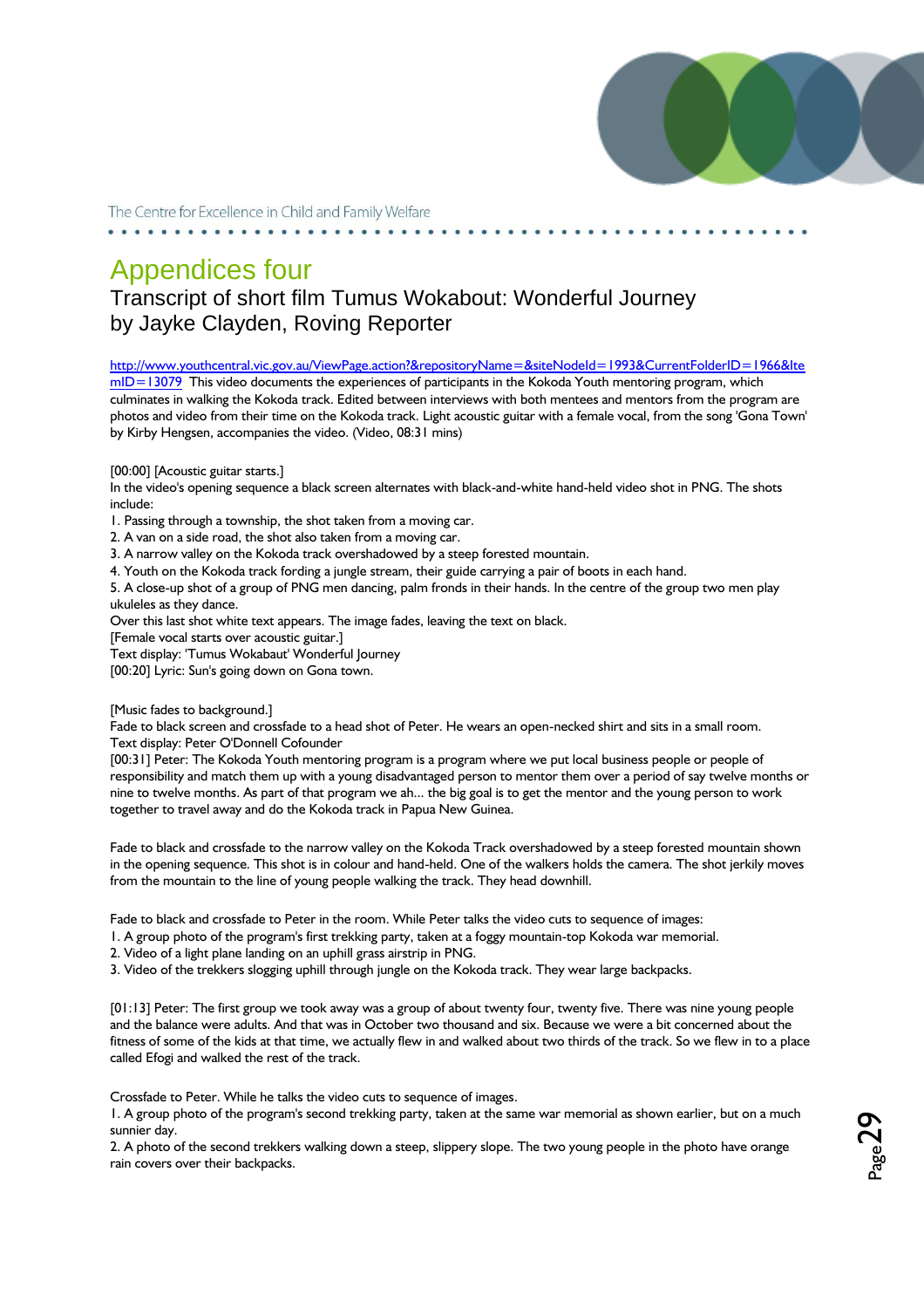

# Appendices four

### Transcript of short film Tumus Wokabout: Wonderful Journey by Jayke Clayden, Roving Reporter

[http://www.youthcentral.vic.gov.au/ViewPage.action?&repositoryName=&siteNodeId=1993&CurrentFolderID=1966&Ite](http://www.youthcentral.vic.gov.au/ViewPage.action?&repositoryName=&siteNodeId=1993&CurrentFolderID=1966&ItemID=13079)

 $mID = 13079$  This video documents the experiences of participants in the Kokoda Youth mentoring program, which culminates in walking the Kokoda track. Edited between interviews with both mentees and mentors from the program are photos and video from their time on the Kokoda track. Light acoustic guitar with a female vocal, from the song 'Gona Town' by Kirby Hengsen, accompanies the video. (Video, 08:31 mins)

[00:00] [Acoustic guitar starts.]

In the video's opening sequence a black screen alternates with black-and-white hand-held video shot in PNG. The shots include:

1. Passing through a township, the shot taken from a moving car.

2. A van on a side road, the shot also taken from a moving car.

3. A narrow valley on the Kokoda track overshadowed by a steep forested mountain.

4. Youth on the Kokoda track fording a jungle stream, their guide carrying a pair of boots in each hand.

5. A close-up shot of a group of PNG men dancing, palm fronds in their hands. In the centre of the group two men play ukuleles as they dance.

Over this last shot white text appears. The image fades, leaving the text on black.

[Female vocal starts over acoustic guitar.]

Text display: 'Tumus Wokabaut' Wonderful Journey

[00:20] Lyric: Sun's going down on Gona town.

[Music fades to background.]

Fade to black screen and crossfade to a head shot of Peter. He wears an open-necked shirt and sits in a small room. Text display: Peter O'Donnell Cofounder

[00:31] Peter: The Kokoda Youth mentoring program is a program where we put local business people or people of responsibility and match them up with a young disadvantaged person to mentor them over a period of say twelve months or nine to twelve months. As part of that program we ah... the big goal is to get the mentor and the young person to work together to travel away and do the Kokoda track in Papua New Guinea.

Fade to black and crossfade to the narrow valley on the Kokoda Track overshadowed by a steep forested mountain shown in the opening sequence. This shot is in colour and hand-held. One of the walkers holds the camera. The shot jerkily moves from the mountain to the line of young people walking the track. They head downhill.

Fade to black and crossfade to Peter in the room. While Peter talks the video cuts to sequence of images:

1. A group photo of the program's first trekking party, taken at a foggy mountain-top Kokoda war memorial.

2. Video of a light plane landing on an uphill grass airstrip in PNG.

3. Video of the trekkers slogging uphill through jungle on the Kokoda track. They wear large backpacks.

[01:13] Peter: The first group we took away was a group of about twenty four, twenty five. There was nine young people and the balance were adults. And that was in October two thousand and six. Because we were a bit concerned about the fitness of some of the kids at that time, we actually flew in and walked about two thirds of the track. So we flew in to a place called Efogi and walked the rest of the track.

Crossfade to Peter. While he talks the video cuts to sequence of images.

1. A group photo of the program's second trekking party, taken at the same war memorial as shown earlier, but on a much sunnier day.

2. A photo of the second trekkers walking down a steep, slippery slope. The two young people in the photo have orange rain covers over their backpacks.

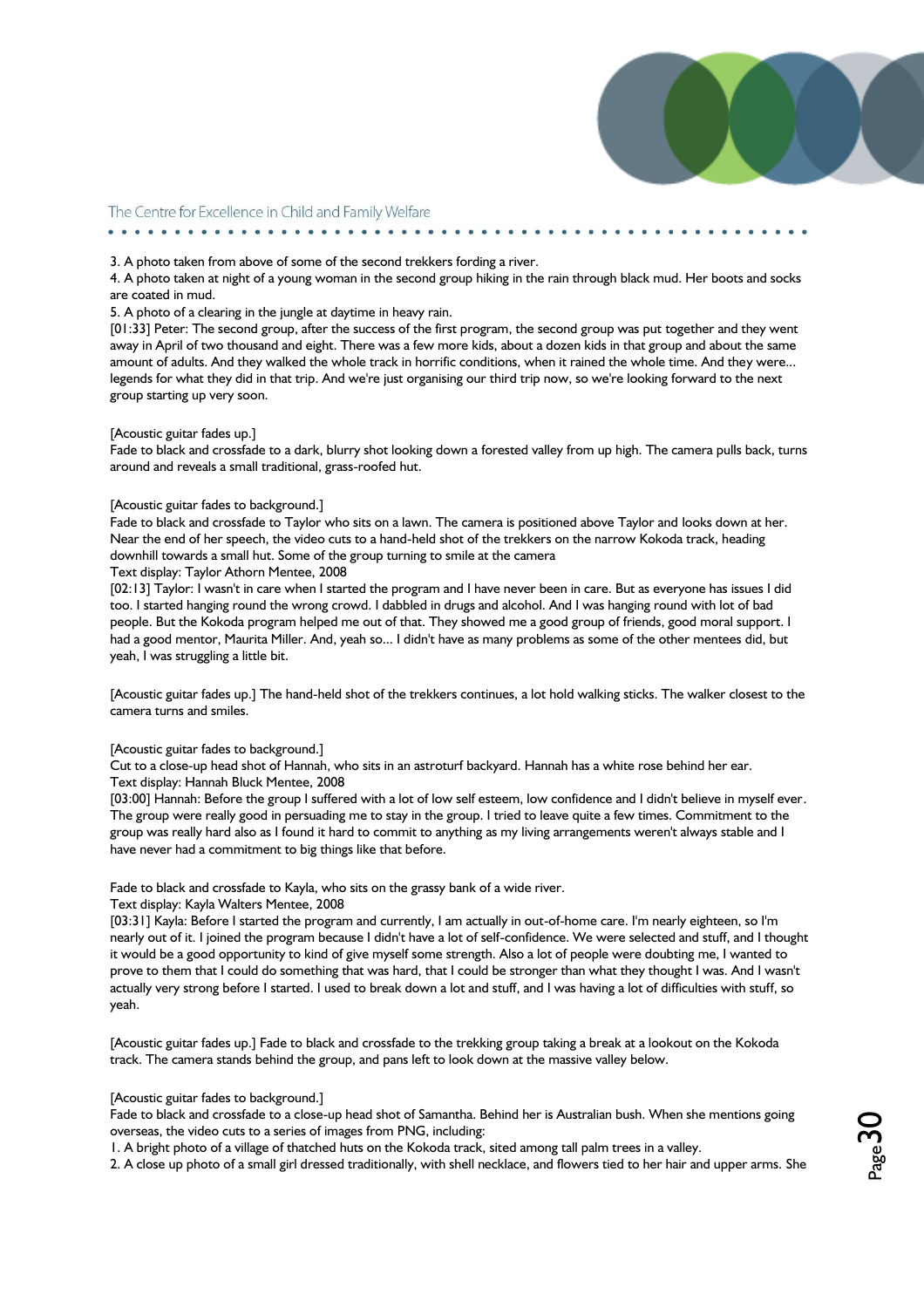

#### 3. A photo taken from above of some of the second trekkers fording a river.

4. A photo taken at night of a young woman in the second group hiking in the rain through black mud. Her boots and socks are coated in mud.

#### 5. A photo of a clearing in the jungle at daytime in heavy rain.

[01:33] Peter: The second group, after the success of the first program, the second group was put together and they went away in April of two thousand and eight. There was a few more kids, about a dozen kids in that group and about the same amount of adults. And they walked the whole track in horrific conditions, when it rained the whole time. And they were... legends for what they did in that trip. And we're just organising our third trip now, so we're looking forward to the next group starting up very soon.

#### [Acoustic guitar fades up.]

Fade to black and crossfade to a dark, blurry shot looking down a forested valley from up high. The camera pulls back, turns around and reveals a small traditional, grass-roofed hut.

#### [Acoustic guitar fades to background.]

Fade to black and crossfade to Taylor who sits on a lawn. The camera is positioned above Taylor and looks down at her. Near the end of her speech, the video cuts to a hand-held shot of the trekkers on the narrow Kokoda track, heading downhill towards a small hut. Some of the group turning to smile at the camera

#### Text display: Taylor Athorn Mentee, 2008

[02:13] Taylor: I wasn't in care when I started the program and I have never been in care. But as everyone has issues I did too. I started hanging round the wrong crowd. I dabbled in drugs and alcohol. And I was hanging round with lot of bad people. But the Kokoda program helped me out of that. They showed me a good group of friends, good moral support. I had a good mentor, Maurita Miller. And, yeah so... I didn't have as many problems as some of the other mentees did, but yeah, I was struggling a little bit.

[Acoustic guitar fades up.] The hand-held shot of the trekkers continues, a lot hold walking sticks. The walker closest to the camera turns and smiles.

#### [Acoustic guitar fades to background.]

Cut to a close-up head shot of Hannah, who sits in an astroturf backyard. Hannah has a white rose behind her ear. Text display: Hannah Bluck Mentee, 2008

[03:00] Hannah: Before the group I suffered with a lot of low self esteem, low confidence and I didn't believe in myself ever. The group were really good in persuading me to stay in the group. I tried to leave quite a few times. Commitment to the group was really hard also as I found it hard to commit to anything as my living arrangements weren't always stable and I have never had a commitment to big things like that before.

#### Fade to black and crossfade to Kayla, who sits on the grassy bank of a wide river.

#### Text display: Kayla Walters Mentee, 2008

[03:31] Kayla: Before I started the program and currently, I am actually in out-of-home care. I'm nearly eighteen, so I'm nearly out of it. I joined the program because I didn't have a lot of self-confidence. We were selected and stuff, and I thought it would be a good opportunity to kind of give myself some strength. Also a lot of people were doubting me, I wanted to prove to them that I could do something that was hard, that I could be stronger than what they thought I was. And I wasn't actually very strong before I started. I used to break down a lot and stuff, and I was having a lot of difficulties with stuff, so yeah.

[Acoustic guitar fades up.] Fade to black and crossfade to the trekking group taking a break at a lookout on the Kokoda track. The camera stands behind the group, and pans left to look down at the massive valley below.

#### [Acoustic guitar fades to background.]

Fade to black and crossfade to a close-up head shot of Samantha. Behind her is Australian bush. When she mentions going overseas, the video cuts to a series of images from PNG, including:

1. A bright photo of a village of thatched huts on the Kokoda track, sited among tall palm trees in a valley.

2. A close up photo of a small girl dressed traditionally, with shell necklace, and flowers tied to her hair and upper arms. She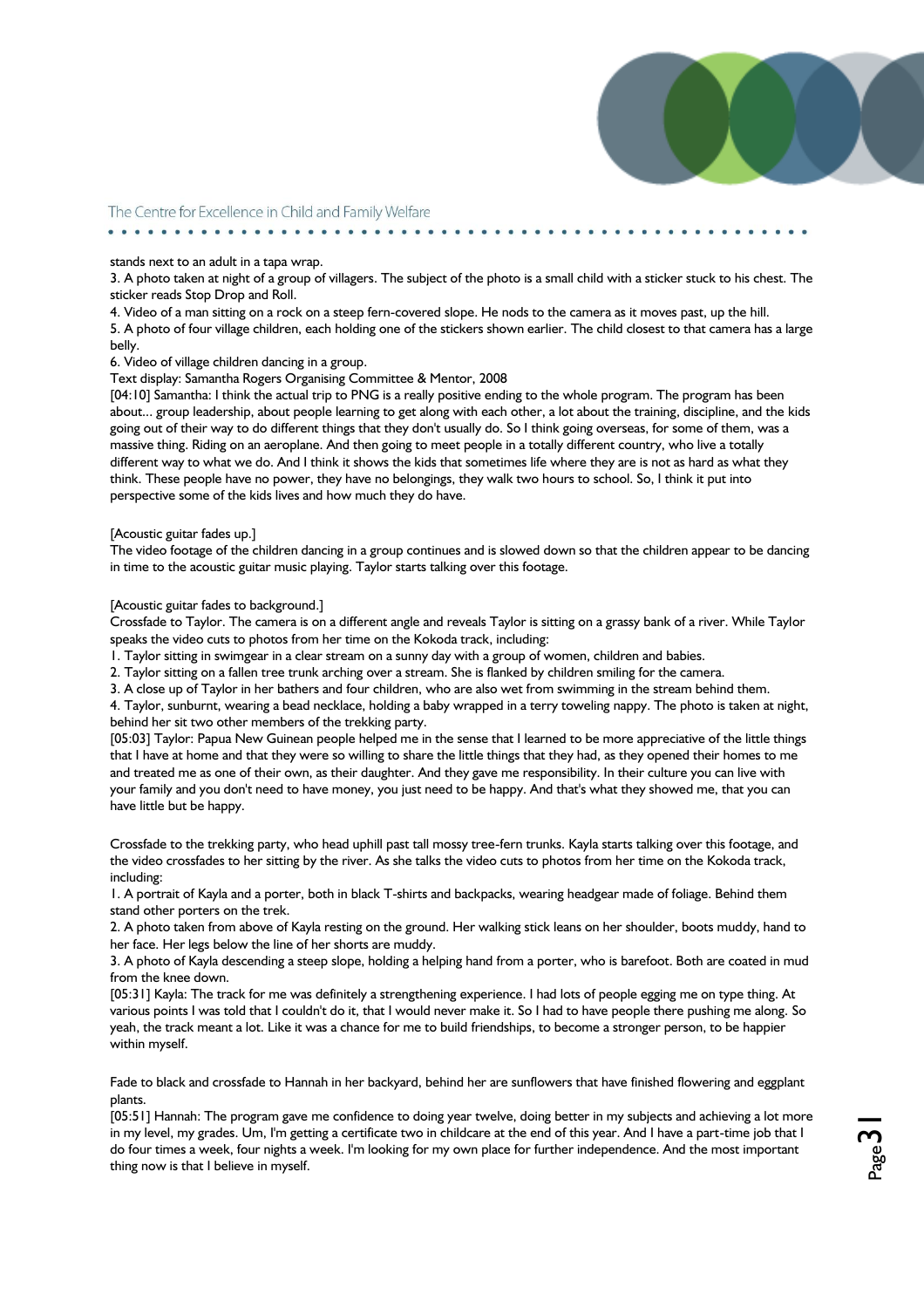#### stands next to an adult in a tapa wrap.

. . . . . . . . . . . . . .

3. A photo taken at night of a group of villagers. The subject of the photo is a small child with a sticker stuck to his chest. The sticker reads Stop Drop and Roll.

4. Video of a man sitting on a rock on a steep fern-covered slope. He nods to the camera as it moves past, up the hill. 5. A photo of four village children, each holding one of the stickers shown earlier. The child closest to that camera has a large belly.

6. Video of village children dancing in a group.

#### Text display: Samantha Rogers Organising Committee & Mentor, 2008

[04:10] Samantha: I think the actual trip to PNG is a really positive ending to the whole program. The program has been about... group leadership, about people learning to get along with each other, a lot about the training, discipline, and the kids going out of their way to do different things that they don't usually do. So I think going overseas, for some of them, was a massive thing. Riding on an aeroplane. And then going to meet people in a totally different country, who live a totally different way to what we do. And I think it shows the kids that sometimes life where they are is not as hard as what they think. These people have no power, they have no belongings, they walk two hours to school. So, I think it put into perspective some of the kids lives and how much they do have.

#### [Acoustic guitar fades up.]

The video footage of the children dancing in a group continues and is slowed down so that the children appear to be dancing in time to the acoustic guitar music playing. Taylor starts talking over this footage.

[Acoustic guitar fades to background.]

Crossfade to Taylor. The camera is on a different angle and reveals Taylor is sitting on a grassy bank of a river. While Taylor speaks the video cuts to photos from her time on the Kokoda track, including:

1. Taylor sitting in swimgear in a clear stream on a sunny day with a group of women, children and babies.

2. Taylor sitting on a fallen tree trunk arching over a stream. She is flanked by children smiling for the camera.

3. A close up of Taylor in her bathers and four children, who are also wet from swimming in the stream behind them.

4. Taylor, sunburnt, wearing a bead necklace, holding a baby wrapped in a terry toweling nappy. The photo is taken at night, behind her sit two other members of the trekking party.

[05:03] Taylor: Papua New Guinean people helped me in the sense that I learned to be more appreciative of the little things that I have at home and that they were so willing to share the little things that they had, as they opened their homes to me and treated me as one of their own, as their daughter. And they gave me responsibility. In their culture you can live with your family and you don't need to have money, you just need to be happy. And that's what they showed me, that you can have little but be happy.

Crossfade to the trekking party, who head uphill past tall mossy tree-fern trunks. Kayla starts talking over this footage, and the video crossfades to her sitting by the river. As she talks the video cuts to photos from her time on the Kokoda track, including:

1. A portrait of Kayla and a porter, both in black T-shirts and backpacks, wearing headgear made of foliage. Behind them stand other porters on the trek.

2. A photo taken from above of Kayla resting on the ground. Her walking stick leans on her shoulder, boots muddy, hand to her face. Her legs below the line of her shorts are muddy.

3. A photo of Kayla descending a steep slope, holding a helping hand from a porter, who is barefoot. Both are coated in mud from the knee down.

[05:31] Kayla: The track for me was definitely a strengthening experience. I had lots of people egging me on type thing. At various points I was told that I couldn't do it, that I would never make it. So I had to have people there pushing me along. So yeah, the track meant a lot. Like it was a chance for me to build friendships, to become a stronger person, to be happier within myself.

Fade to black and crossfade to Hannah in her backyard, behind her are sunflowers that have finished flowering and eggplant plants.

[05:51] Hannah: The program gave me confidence to doing year twelve, doing better in my subjects and achieving a lot more in my level, my grades. Um, I'm getting a certificate two in childcare at the end of this year. And I have a part-time job that I do four times a week, four nights a week. I'm looking for my own place for further independence. And the most important thing now is that I believe in myself.

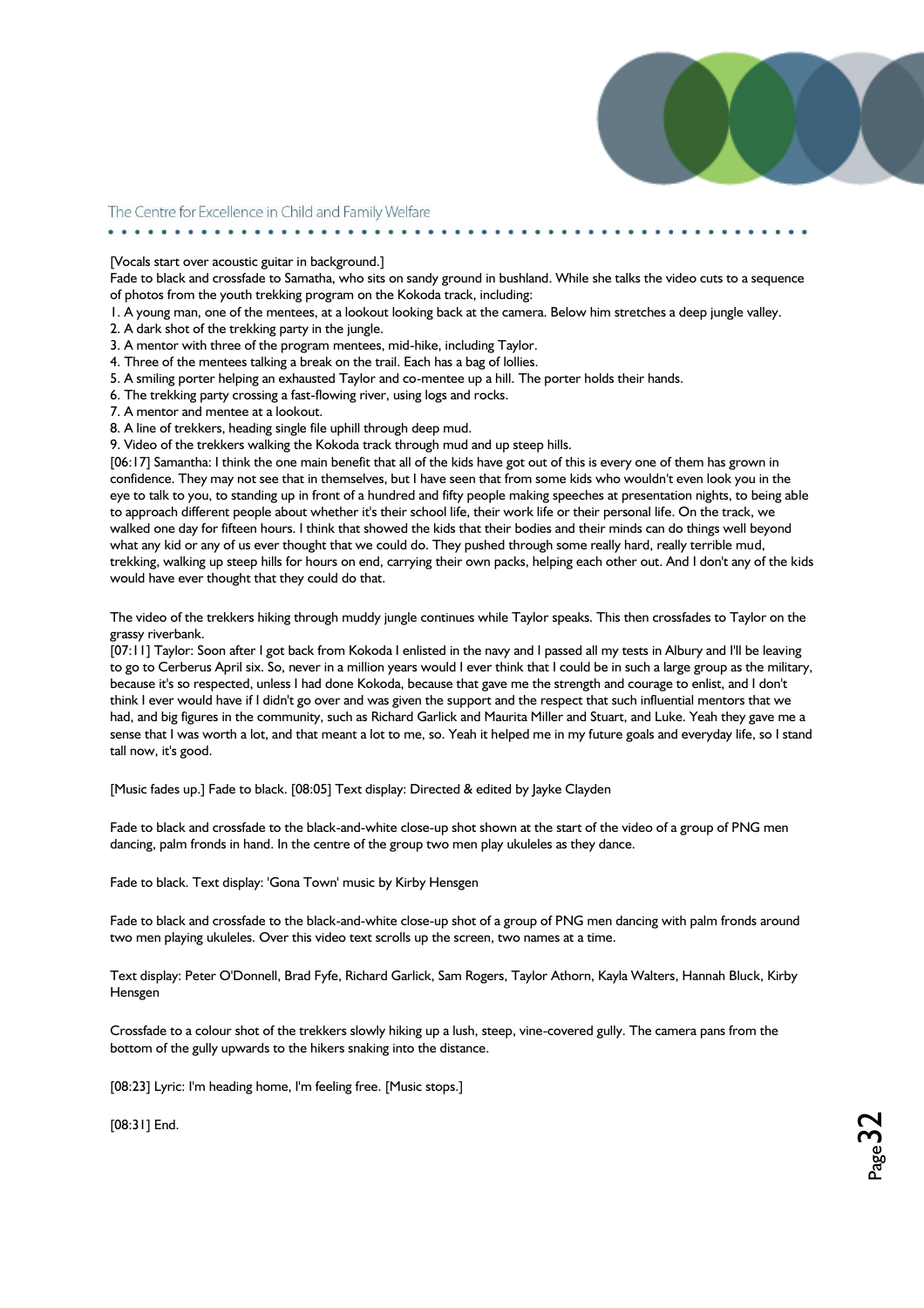[Vocals start over acoustic guitar in background.]

. . . . . . . . . . . . . . . . . . . .

Fade to black and crossfade to Samatha, who sits on sandy ground in bushland. While she talks the video cuts to a sequence of photos from the youth trekking program on the Kokoda track, including:

1. A young man, one of the mentees, at a lookout looking back at the camera. Below him stretches a deep jungle valley.

2. A dark shot of the trekking party in the jungle.

3. A mentor with three of the program mentees, mid-hike, including Taylor.

4. Three of the mentees talking a break on the trail. Each has a bag of lollies.

5. A smiling porter helping an exhausted Taylor and co-mentee up a hill. The porter holds their hands.

6. The trekking party crossing a fast-flowing river, using logs and rocks.

7. A mentor and mentee at a lookout.

8. A line of trekkers, heading single file uphill through deep mud.

9. Video of the trekkers walking the Kokoda track through mud and up steep hills.

[06:17] Samantha: I think the one main benefit that all of the kids have got out of this is every one of them has grown in confidence. They may not see that in themselves, but I have seen that from some kids who wouldn't even look you in the eye to talk to you, to standing up in front of a hundred and fifty people making speeches at presentation nights, to being able to approach different people about whether it's their school life, their work life or their personal life. On the track, we walked one day for fifteen hours. I think that showed the kids that their bodies and their minds can do things well beyond what any kid or any of us ever thought that we could do. They pushed through some really hard, really terrible mud, trekking, walking up steep hills for hours on end, carrying their own packs, helping each other out. And I don't any of the kids would have ever thought that they could do that.

The video of the trekkers hiking through muddy jungle continues while Taylor speaks. This then crossfades to Taylor on the grassy riverbank.

[07:11] Taylor: Soon after I got back from Kokoda I enlisted in the navy and I passed all my tests in Albury and I'll be leaving to go to Cerberus April six. So, never in a million years would I ever think that I could be in such a large group as the military, because it's so respected, unless I had done Kokoda, because that gave me the strength and courage to enlist, and I don't think I ever would have if I didn't go over and was given the support and the respect that such influential mentors that we had, and big figures in the community, such as Richard Garlick and Maurita Miller and Stuart, and Luke. Yeah they gave me a sense that I was worth a lot, and that meant a lot to me, so. Yeah it helped me in my future goals and everyday life, so I stand tall now, it's good.

[Music fades up.] Fade to black. [08:05] Text display: Directed & edited by Jayke Clayden

Fade to black and crossfade to the black-and-white close-up shot shown at the start of the video of a group of PNG men dancing, palm fronds in hand. In the centre of the group two men play ukuleles as they dance.

Fade to black. Text display: 'Gona Town' music by Kirby Hensgen

Fade to black and crossfade to the black-and-white close-up shot of a group of PNG men dancing with palm fronds around two men playing ukuleles. Over this video text scrolls up the screen, two names at a time.

Text display: Peter O'Donnell, Brad Fyfe, Richard Garlick, Sam Rogers, Taylor Athorn, Kayla Walters, Hannah Bluck, Kirby Hensgen

Crossfade to a colour shot of the trekkers slowly hiking up a lush, steep, vine-covered gully. The camera pans from the bottom of the gully upwards to the hikers snaking into the distance.

[08:23] Lyric: I'm heading home, I'm feeling free. [Music stops.]

[08:31] End.